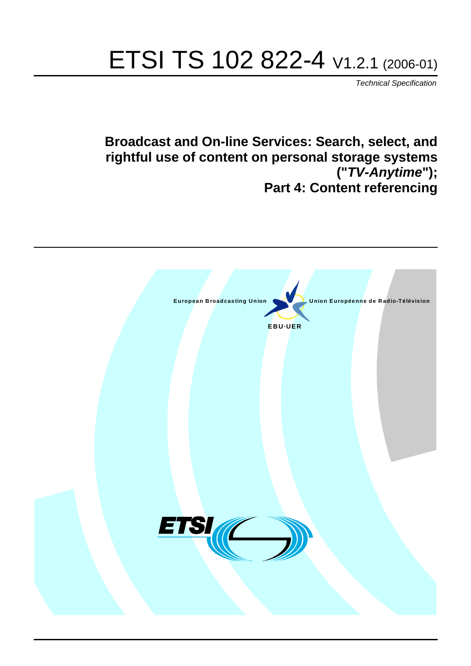# ETSI TS 102 822-4 V1.2.1 (2006-01)

Technical Specification

**Broadcast and On-line Services: Search, select, and rightful use of content on personal storage systems ("TV-Anytime"); Part 4: Content referencing**

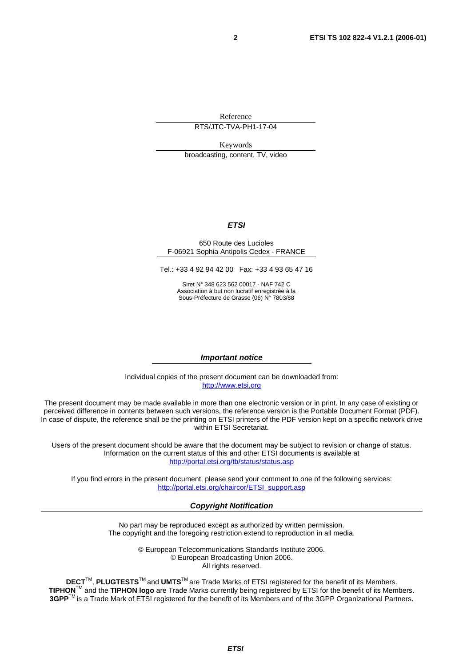Reference

RTS/JTC-TVA-PH1-17-04

Keywords

broadcasting, content, TV, video

#### **ETSI**

#### 650 Route des Lucioles F-06921 Sophia Antipolis Cedex - FRANCE

Tel.: +33 4 92 94 42 00 Fax: +33 4 93 65 47 16

Siret N° 348 623 562 00017 - NAF 742 C Association à but non lucratif enregistrée à la Sous-Préfecture de Grasse (06) N° 7803/88

#### **Important notice**

Individual copies of the present document can be downloaded from: [http://www.etsi.org](http://www.etsi.org/)

The present document may be made available in more than one electronic version or in print. In any case of existing or perceived difference in contents between such versions, the reference version is the Portable Document Format (PDF). In case of dispute, the reference shall be the printing on ETSI printers of the PDF version kept on a specific network drive within ETSI Secretariat.

Users of the present document should be aware that the document may be subject to revision or change of status. Information on the current status of this and other ETSI documents is available at <http://portal.etsi.org/tb/status/status.asp>

If you find errors in the present document, please send your comment to one of the following services: [http://portal.etsi.org/chaircor/ETSI\\_support.asp](http://portal.etsi.org/chaircor/ETSI_support.asp)

#### **Copyright Notification**

No part may be reproduced except as authorized by written permission. The copyright and the foregoing restriction extend to reproduction in all media.

> © European Telecommunications Standards Institute 2006. © European Broadcasting Union 2006. All rights reserved.

**DECT**TM, **PLUGTESTS**TM and **UMTS**TM are Trade Marks of ETSI registered for the benefit of its Members. **TIPHON**TM and the **TIPHON logo** are Trade Marks currently being registered by ETSI for the benefit of its Members. **3GPP**TM is a Trade Mark of ETSI registered for the benefit of its Members and of the 3GPP Organizational Partners.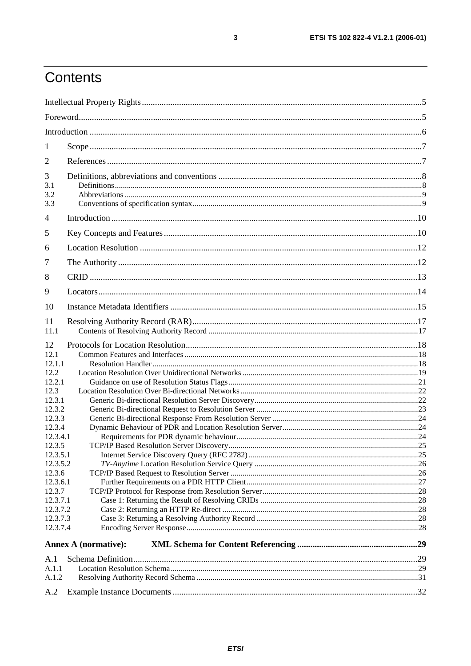## Contents

| 1                                                                                                                                                                                                                    |                             |  |
|----------------------------------------------------------------------------------------------------------------------------------------------------------------------------------------------------------------------|-----------------------------|--|
| 2                                                                                                                                                                                                                    |                             |  |
| 3<br>3.1<br>3.2<br>3.3                                                                                                                                                                                               |                             |  |
| $\overline{4}$                                                                                                                                                                                                       |                             |  |
| 5                                                                                                                                                                                                                    |                             |  |
| 6                                                                                                                                                                                                                    |                             |  |
| 7                                                                                                                                                                                                                    |                             |  |
| 8                                                                                                                                                                                                                    |                             |  |
| 9                                                                                                                                                                                                                    |                             |  |
| 10                                                                                                                                                                                                                   |                             |  |
| 11<br>11.1                                                                                                                                                                                                           |                             |  |
| 12<br>12.1<br>12.1.1<br>12.2<br>12.2.1<br>12.3<br>12.3.1<br>12.3.2<br>12.3.3<br>12.3.4<br>12.3.4.1<br>12.3.5<br>12.3.5.1<br>12.3.5.2<br>12.3.6<br>12.3.6.1<br>12.3.7<br>12.3.7.1<br>12.3.7.2<br>12.3.7.3<br>12.3.7.4 |                             |  |
|                                                                                                                                                                                                                      | <b>Annex A (normative):</b> |  |
| A.1<br>A.1.1                                                                                                                                                                                                         |                             |  |
| A.1.2                                                                                                                                                                                                                |                             |  |
| A.2                                                                                                                                                                                                                  |                             |  |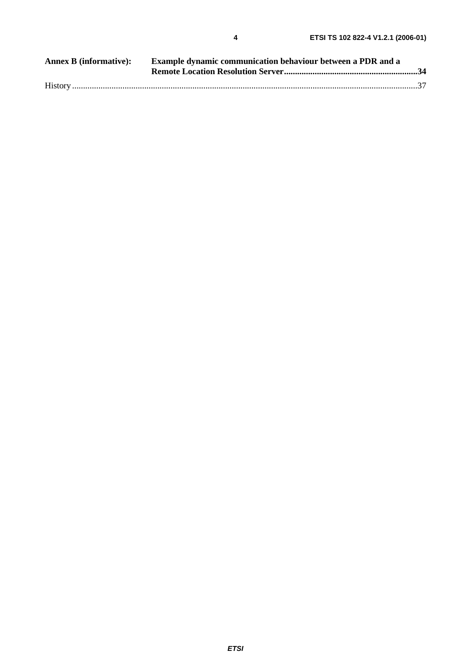| Annex B (informative): Example dynamic communication behaviour between a PDR and a |  |
|------------------------------------------------------------------------------------|--|
|                                                                                    |  |
|                                                                                    |  |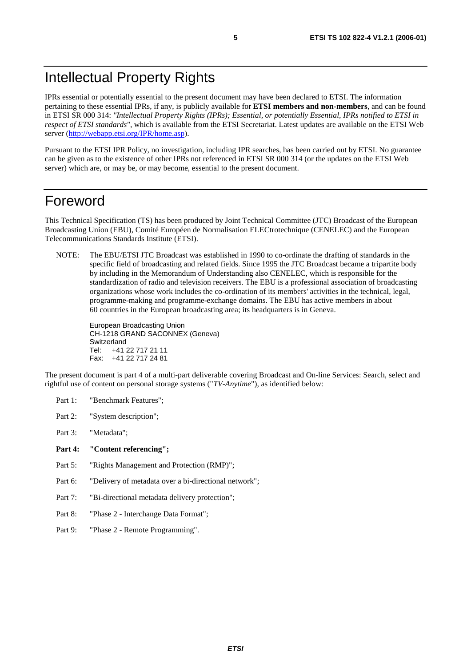## Intellectual Property Rights

IPRs essential or potentially essential to the present document may have been declared to ETSI. The information pertaining to these essential IPRs, if any, is publicly available for **ETSI members and non-members**, and can be found in ETSI SR 000 314: *"Intellectual Property Rights (IPRs); Essential, or potentially Essential, IPRs notified to ETSI in respect of ETSI standards"*, which is available from the ETSI Secretariat. Latest updates are available on the ETSI Web server [\(http://webapp.etsi.org/IPR/home.asp\)](http://webapp.etsi.org/IPR/home.asp).

Pursuant to the ETSI IPR Policy, no investigation, including IPR searches, has been carried out by ETSI. No guarantee can be given as to the existence of other IPRs not referenced in ETSI SR 000 314 (or the updates on the ETSI Web server) which are, or may be, or may become, essential to the present document.

### Foreword

This Technical Specification (TS) has been produced by Joint Technical Committee (JTC) Broadcast of the European Broadcasting Union (EBU), Comité Européen de Normalisation ELECtrotechnique (CENELEC) and the European Telecommunications Standards Institute (ETSI).

NOTE: The EBU/ETSI JTC Broadcast was established in 1990 to co-ordinate the drafting of standards in the specific field of broadcasting and related fields. Since 1995 the JTC Broadcast became a tripartite body by including in the Memorandum of Understanding also CENELEC, which is responsible for the standardization of radio and television receivers. The EBU is a professional association of broadcasting organizations whose work includes the co-ordination of its members' activities in the technical, legal, programme-making and programme-exchange domains. The EBU has active members in about 60 countries in the European broadcasting area; its headquarters is in Geneva.

European Broadcasting Union CH-1218 GRAND SACONNEX (Geneva) Switzerland Tel: +41 22 717 21 11 Fax: +41 22 717 24 81

The present document is part 4 of a multi-part deliverable covering Broadcast and On-line Services: Search, select and rightful use of content on personal storage systems ("*TV-Anytime*"), as identified below:

- Part 1: "Benchmark Features";
- Part 2: "System description";
- Part 3: "Metadata";

#### **Part 4: "Content referencing";**

- Part 5: "Rights Management and Protection (RMP)";
- Part 6: "Delivery of metadata over a bi-directional network";
- Part 7: "Bi-directional metadata delivery protection";
- Part 8: "Phase 2 Interchange Data Format";
- Part 9: "Phase 2 Remote Programming".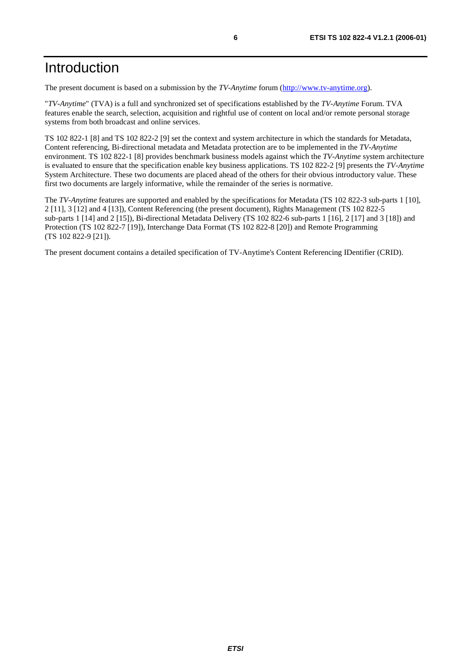## Introduction

The present document is based on a submission by the *TV-Anytime* forum ([http://www.tv-anytime.org\)](http://www.tv-anytime.org/).

"*TV-Anytime*" (TVA) is a full and synchronized set of specifications established by the *TV-Anytime* Forum. TVA features enable the search, selection, acquisition and rightful use of content on local and/or remote personal storage systems from both broadcast and online services.

TS 102 822-1 [8] and TS 102 822-2 [9] set the context and system architecture in which the standards for Metadata, Content referencing, Bi-directional metadata and Metadata protection are to be implemented in the *TV-Anytime* environment. TS 102 822-1 [8] provides benchmark business models against which the *TV-Anytime* system architecture is evaluated to ensure that the specification enable key business applications. TS 102 822-2 [9] presents the *TV-Anytime* System Architecture. These two documents are placed ahead of the others for their obvious introductory value. These first two documents are largely informative, while the remainder of the series is normative.

The *TV-Anytime* features are supported and enabled by the specifications for Metadata (TS 102 822-3 sub-parts 1 [10], 2 [11], 3 [12] and 4 [13]), Content Referencing (the present document), Rights Management (TS 102 822-5 sub-parts 1 [14] and 2 [15]), Bi-directional Metadata Delivery (TS 102 822-6 sub-parts 1 [16], 2 [17] and 3 [18]) and Protection (TS 102 822-7 [19]), Interchange Data Format (TS 102 822-8 [20]) and Remote Programming (TS 102 822-9 [21]).

The present document contains a detailed specification of TV-Anytime's Content Referencing IDentifier (CRID).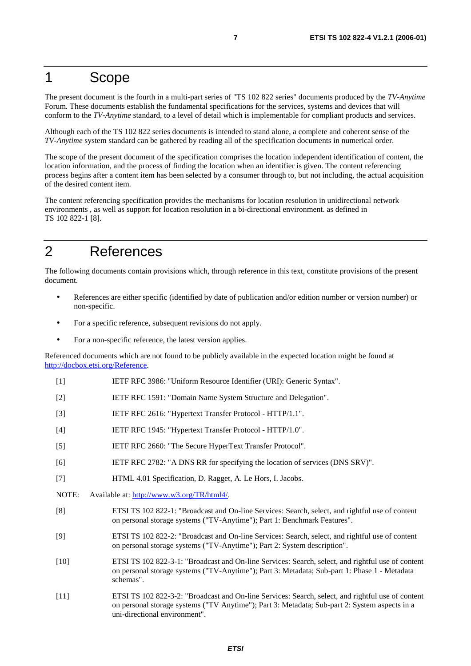## 1 Scope

The present document is the fourth in a multi-part series of "TS 102 822 series" documents produced by the *TV-Anytime* Forum. These documents establish the fundamental specifications for the services, systems and devices that will conform to the *TV-Anytime* standard, to a level of detail which is implementable for compliant products and services.

Although each of the TS 102 822 series documents is intended to stand alone, a complete and coherent sense of the *TV-Anytime* system standard can be gathered by reading all of the specification documents in numerical order.

The scope of the present document of the specification comprises the location independent identification of content, the location information, and the process of finding the location when an identifier is given. The content referencing process begins after a content item has been selected by a consumer through to, but not including, the actual acquisition of the desired content item.

The content referencing specification provides the mechanisms for location resolution in unidirectional network environments , as well as support for location resolution in a bi-directional environment. as defined in TS 102 822-1 [8].

## 2 References

The following documents contain provisions which, through reference in this text, constitute provisions of the present document.

- References are either specific (identified by date of publication and/or edition number or version number) or non-specific.
- For a specific reference, subsequent revisions do not apply.
- For a non-specific reference, the latest version applies.

Referenced documents which are not found to be publicly available in the expected location might be found at <http://docbox.etsi.org/Reference>.

- [1] IETF RFC 3986: "Uniform Resource Identifier (URI): Generic Syntax".
- [2] IETF RFC 1591: "Domain Name System Structure and Delegation".
- [3] IETF RFC 2616: "Hypertext Transfer Protocol HTTP/1.1".
- [4] IETF RFC 1945: "Hypertext Transfer Protocol HTTP/1.0".
- [5] IETF RFC 2660: "The Secure HyperText Transfer Protocol".
- [6] IETF RFC 2782: "A DNS RR for specifying the location of services (DNS SRV)".
- [7] HTML 4.01 Specification, D. Ragget, A. Le Hors, I. Jacobs.
- NOTE: Available at: [http://www.w3.org/TR/html4/.](http://www.w3.org/TR/html4/)
- [8] ETSI TS 102 822-1: "Broadcast and On-line Services: Search, select, and rightful use of content on personal storage systems ("TV-Anytime"); Part 1: Benchmark Features".
- [9] ETSI TS 102 822-2: "Broadcast and On-line Services: Search, select, and rightful use of content on personal storage systems ("TV-Anytime"); Part 2: System description".
- [10] ETSI TS 102 822-3-1: "Broadcast and On-line Services: Search, select, and rightful use of content on personal storage systems ("TV-Anytime"); Part 3: Metadata; Sub-part 1: Phase 1 - Metadata schemas".
- [11] ETSI TS 102 822-3-2: "Broadcast and On-line Services: Search, select, and rightful use of content on personal storage systems ("TV Anytime"); Part 3: Metadata; Sub-part 2: System aspects in a uni-directional environment".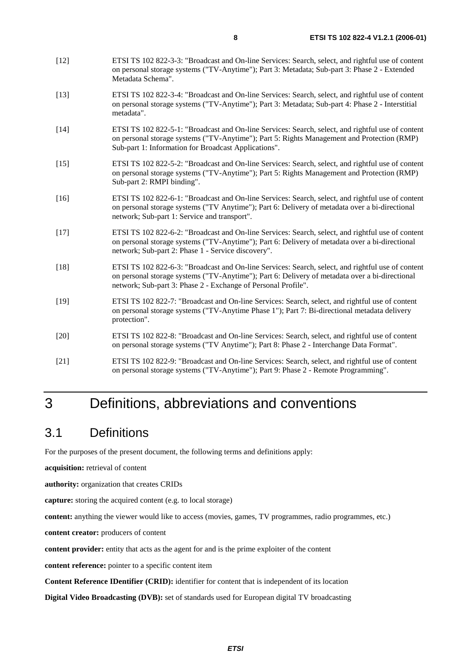- [12] ETSI TS 102 822-3-3: "Broadcast and On-line Services: Search, select, and rightful use of content on personal storage systems ("TV-Anytime"); Part 3: Metadata; Sub-part 3: Phase 2 - Extended Metadata Schema".
- [13] ETSI TS 102 822-3-4: "Broadcast and On-line Services: Search, select, and rightful use of content on personal storage systems ("TV-Anytime"); Part 3: Metadata; Sub-part 4: Phase 2 - Interstitial metadata".
- [14] ETSI TS 102 822-5-1: "Broadcast and On-line Services: Search, select, and rightful use of content on personal storage systems ("TV-Anytime"); Part 5: Rights Management and Protection (RMP) Sub-part 1: Information for Broadcast Applications".
- [15] ETSI TS 102 822-5-2: "Broadcast and On-line Services: Search, select, and rightful use of content on personal storage systems ("TV-Anytime"); Part 5: Rights Management and Protection (RMP) Sub-part 2: RMPI binding".
- [16] ETSI TS 102 822-6-1: "Broadcast and On-line Services: Search, select, and rightful use of content on personal storage systems ("TV Anytime"); Part 6: Delivery of metadata over a bi-directional network; Sub-part 1: Service and transport".
- [17] ETSI TS 102 822-6-2: "Broadcast and On-line Services: Search, select, and rightful use of content on personal storage systems ("TV-Anytime"); Part 6: Delivery of metadata over a bi-directional network; Sub-part 2: Phase 1 - Service discovery".
- [18] ETSI TS 102 822-6-3: "Broadcast and On-line Services: Search, select, and rightful use of content on personal storage systems ("TV-Anytime"); Part 6: Delivery of metadata over a bi-directional network; Sub-part 3: Phase 2 - Exchange of Personal Profile".
- [19] ETSI TS 102 822-7: "Broadcast and On-line Services: Search, select, and rightful use of content on personal storage systems ("TV-Anytime Phase 1"); Part 7: Bi-directional metadata delivery protection".
- [20] ETSI TS 102 822-8: "Broadcast and On-line Services: Search, select, and rightful use of content on personal storage systems ("TV Anytime"); Part 8: Phase 2 - Interchange Data Format".
- [21] ETSI TS 102 822-9: "Broadcast and On-line Services: Search, select, and rightful use of content on personal storage systems ("TV-Anytime"); Part 9: Phase 2 - Remote Programming".

## 3 Definitions, abbreviations and conventions

### 3.1 Definitions

For the purposes of the present document, the following terms and definitions apply:

**acquisition:** retrieval of content

**authority:** organization that creates CRIDs

**capture:** storing the acquired content (e.g. to local storage)

**content:** anything the viewer would like to access (movies, games, TV programmes, radio programmes, etc.)

**content creator:** producers of content

**content provider:** entity that acts as the agent for and is the prime exploiter of the content

**content reference:** pointer to a specific content item

**Content Reference IDentifier (CRID):** identifier for content that is independent of its location

**Digital Video Broadcasting (DVB):** set of standards used for European digital TV broadcasting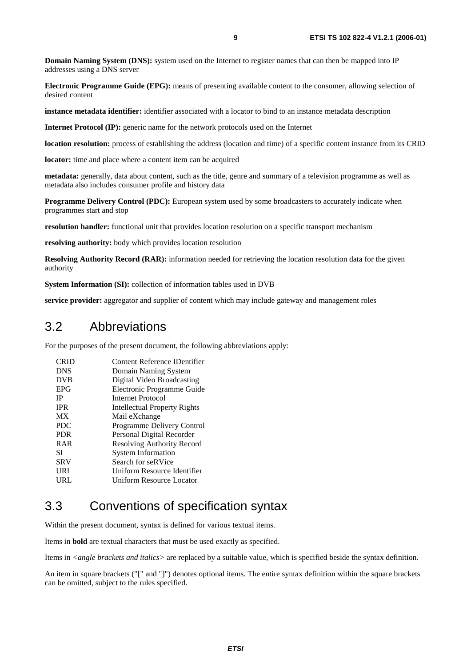**Domain Naming System (DNS):** system used on the Internet to register names that can then be mapped into IP addresses using a DNS server

**Electronic Programme Guide (EPG):** means of presenting available content to the consumer, allowing selection of desired content

**instance metadata identifier:** identifier associated with a locator to bind to an instance metadata description

**Internet Protocol (IP):** generic name for the network protocols used on the Internet

**location resolution:** process of establishing the address (location and time) of a specific content instance from its CRID

**locator:** time and place where a content item can be acquired

**metadata:** generally, data about content, such as the title, genre and summary of a television programme as well as metadata also includes consumer profile and history data

**Programme Delivery Control (PDC):** European system used by some broadcasters to accurately indicate when programmes start and stop

**resolution handler:** functional unit that provides location resolution on a specific transport mechanism

**resolving authority:** body which provides location resolution

**Resolving Authority Record (RAR):** information needed for retrieving the location resolution data for the given authority

**System Information (SI):** collection of information tables used in DVB

**service provider:** aggregator and supplier of content which may include gateway and management roles

### 3.2 Abbreviations

For the purposes of the present document, the following abbreviations apply:

| <b>CRID</b> | Content Reference IDentifier |
|-------------|------------------------------|
| <b>DNS</b>  | Domain Naming System         |
| <b>DVB</b>  | Digital Video Broadcasting   |
| <b>EPG</b>  | Electronic Programme Guide   |
| <b>IP</b>   | Internet Protocol            |
| <b>IPR</b>  | Intellectual Property Rights |
| <b>MX</b>   | Mail eXchange                |
| <b>PDC</b>  | Programme Delivery Control   |
| <b>PDR</b>  | Personal Digital Recorder    |
| <b>RAR</b>  | Resolving Authority Record   |
| SІ          | <b>System Information</b>    |
| <b>SRV</b>  | Search for seRVice           |
| URI         | Uniform Resource Identifier  |
| URL         | Uniform Resource Locator     |
|             |                              |

### 3.3 Conventions of specification syntax

Within the present document, syntax is defined for various textual items.

Items in **bold** are textual characters that must be used exactly as specified.

Items in *<angle brackets and italics>* are replaced by a suitable value, which is specified beside the syntax definition.

An item in square brackets ("[" and "]") denotes optional items. The entire syntax definition within the square brackets can be omitted, subject to the rules specified.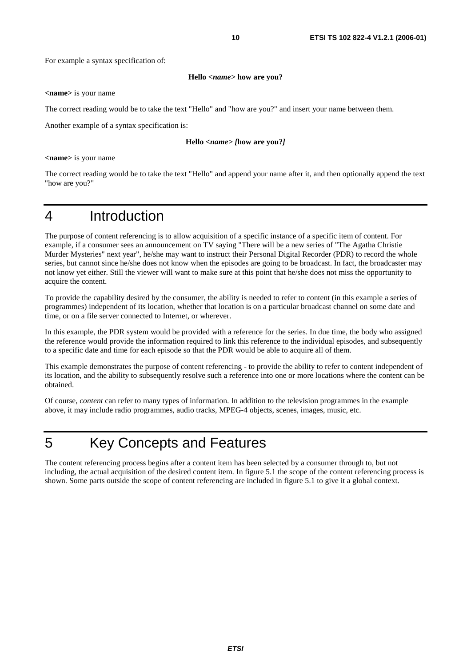For example a syntax specification of:

#### **Hello** *<name>* **how are you?**

**<name>** is your name

The correct reading would be to take the text "Hello" and "how are you?" and insert your name between them.

Another example of a syntax specification is:

#### **Hello** *<name> [***how are you?***]*

**<name>** is your name

The correct reading would be to take the text "Hello" and append your name after it, and then optionally append the text "how are you?"

## 4 Introduction

The purpose of content referencing is to allow acquisition of a specific instance of a specific item of content. For example, if a consumer sees an announcement on TV saying "There will be a new series of "The Agatha Christie Murder Mysteries" next year", he/she may want to instruct their Personal Digital Recorder (PDR) to record the whole series, but cannot since he/she does not know when the episodes are going to be broadcast. In fact, the broadcaster may not know yet either. Still the viewer will want to make sure at this point that he/she does not miss the opportunity to acquire the content.

To provide the capability desired by the consumer, the ability is needed to refer to content (in this example a series of programmes) independent of its location, whether that location is on a particular broadcast channel on some date and time, or on a file server connected to Internet, or wherever.

In this example, the PDR system would be provided with a reference for the series. In due time, the body who assigned the reference would provide the information required to link this reference to the individual episodes, and subsequently to a specific date and time for each episode so that the PDR would be able to acquire all of them.

This example demonstrates the purpose of content referencing - to provide the ability to refer to content independent of its location, and the ability to subsequently resolve such a reference into one or more locations where the content can be obtained.

Of course, *content* can refer to many types of information. In addition to the television programmes in the example above, it may include radio programmes, audio tracks, MPEG-4 objects, scenes, images, music, etc.

## 5 Key Concepts and Features

The content referencing process begins after a content item has been selected by a consumer through to, but not including, the actual acquisition of the desired content item. In figure 5.1 the scope of the content referencing process is shown. Some parts outside the scope of content referencing are included in figure 5.1 to give it a global context.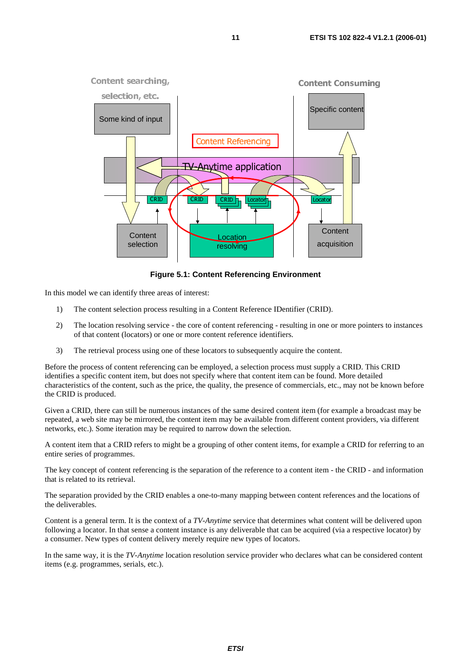

**Figure 5.1: Content Referencing Environment** 

In this model we can identify three areas of interest:

- 1) The content selection process resulting in a Content Reference IDentifier (CRID).
- 2) The location resolving service the core of content referencing resulting in one or more pointers to instances of that content (locators) or one or more content reference identifiers.
- 3) The retrieval process using one of these locators to subsequently acquire the content.

Before the process of content referencing can be employed, a selection process must supply a CRID. This CRID identifies a specific content item, but does not specify where that content item can be found. More detailed characteristics of the content, such as the price, the quality, the presence of commercials, etc., may not be known before the CRID is produced.

Given a CRID, there can still be numerous instances of the same desired content item (for example a broadcast may be repeated, a web site may be mirrored, the content item may be available from different content providers, via different networks, etc.). Some iteration may be required to narrow down the selection.

A content item that a CRID refers to might be a grouping of other content items, for example a CRID for referring to an entire series of programmes.

The key concept of content referencing is the separation of the reference to a content item - the CRID - and information that is related to its retrieval.

The separation provided by the CRID enables a one-to-many mapping between content references and the locations of the deliverables.

Content is a general term. It is the context of a *TV-Anytime* service that determines what content will be delivered upon following a locator. In that sense a content instance is any deliverable that can be acquired (via a respective locator) by a consumer. New types of content delivery merely require new types of locators.

In the same way, it is the *TV-Anytime* location resolution service provider who declares what can be considered content items (e.g. programmes, serials, etc.).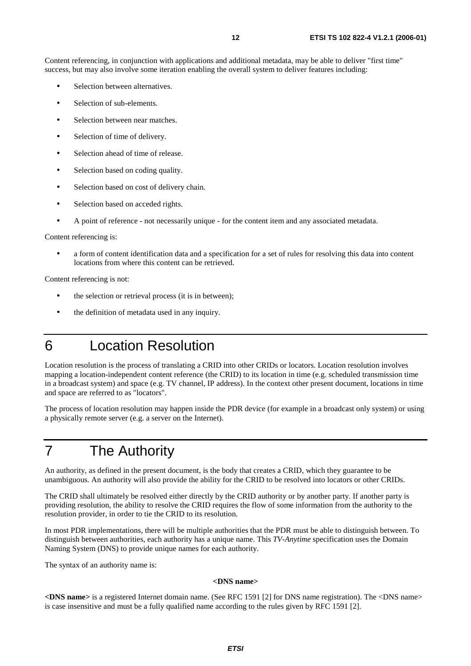Content referencing, in conjunction with applications and additional metadata, may be able to deliver "first time" success, but may also involve some iteration enabling the overall system to deliver features including:

- Selection between alternatives.
- Selection of sub-elements.
- Selection between near matches.
- Selection of time of delivery.
- Selection ahead of time of release.
- Selection based on coding quality.
- Selection based on cost of delivery chain.
- Selection based on acceded rights.
- A point of reference not necessarily unique for the content item and any associated metadata.

Content referencing is:

• a form of content identification data and a specification for a set of rules for resolving this data into content locations from where this content can be retrieved.

Content referencing is not:

- the selection or retrieval process (it is in between);
- the definition of metadata used in any inquiry.
- 6 Location Resolution

Location resolution is the process of translating a CRID into other CRIDs or locators. Location resolution involves mapping a location-independent content reference (the CRID) to its location in time (e.g. scheduled transmission time in a broadcast system) and space (e.g. TV channel, IP address). In the context other present document, locations in time and space are referred to as "locators".

The process of location resolution may happen inside the PDR device (for example in a broadcast only system) or using a physically remote server (e.g. a server on the Internet).

## 7 The Authority

An authority, as defined in the present document, is the body that creates a CRID, which they guarantee to be unambiguous. An authority will also provide the ability for the CRID to be resolved into locators or other CRIDs.

The CRID shall ultimately be resolved either directly by the CRID authority or by another party. If another party is providing resolution, the ability to resolve the CRID requires the flow of some information from the authority to the resolution provider, in order to tie the CRID to its resolution.

In most PDR implementations, there will be multiple authorities that the PDR must be able to distinguish between. To distinguish between authorities, each authority has a unique name. This *TV-Anytime* specification uses the Domain Naming System (DNS) to provide unique names for each authority.

The syntax of an authority name is:

#### **<DNS name>**

**<DNS name>** is a registered Internet domain name. (See RFC 1591 [2] for DNS name registration). The <DNS name> is case insensitive and must be a fully qualified name according to the rules given by RFC 1591 [2].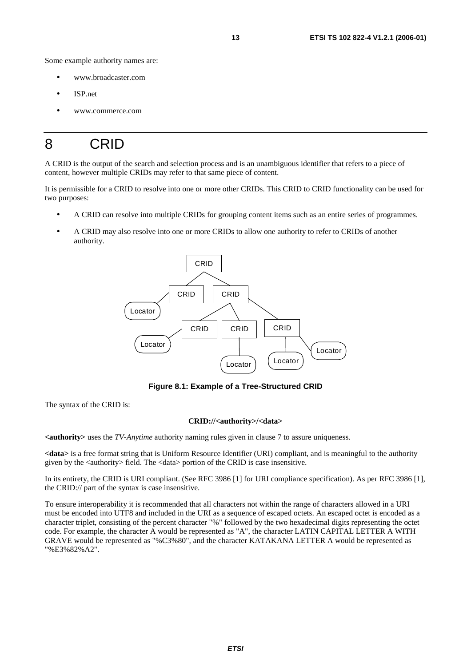Some example authority names are:

- www.broadcaster.com
- ISP net
- www.commerce.com

## 8 CRID

A CRID is the output of the search and selection process and is an unambiguous identifier that refers to a piece of content, however multiple CRIDs may refer to that same piece of content.

It is permissible for a CRID to resolve into one or more other CRIDs. This CRID to CRID functionality can be used for two purposes:

- A CRID can resolve into multiple CRIDs for grouping content items such as an entire series of programmes.
- A CRID may also resolve into one or more CRIDs to allow one authority to refer to CRIDs of another authority.



**Figure 8.1: Example of a Tree-Structured CRID** 

The syntax of the CRID is:

#### **CRID://<authority>/<data>**

**<authority>** uses the *TV-Anytime* authority naming rules given in clause 7 to assure uniqueness.

**<data>** is a free format string that is Uniform Resource Identifier (URI) compliant, and is meaningful to the authority given by the <authority> field. The <data> portion of the CRID is case insensitive.

In its entirety, the CRID is URI compliant. (See RFC 3986 [1] for URI compliance specification). As per RFC 3986 [1], the CRID:// part of the syntax is case insensitive.

To ensure interoperability it is recommended that all characters not within the range of characters allowed in a URI must be encoded into UTF8 and included in the URI as a sequence of escaped octets. An escaped octet is encoded as a character triplet, consisting of the percent character "%" followed by the two hexadecimal digits representing the octet code. For example, the character A would be represented as "A", the character LATIN CAPITAL LETTER A WITH GRAVE would be represented as "%C3%80", and the character KATAKANA LETTER A would be represented as "%E3%82%A2".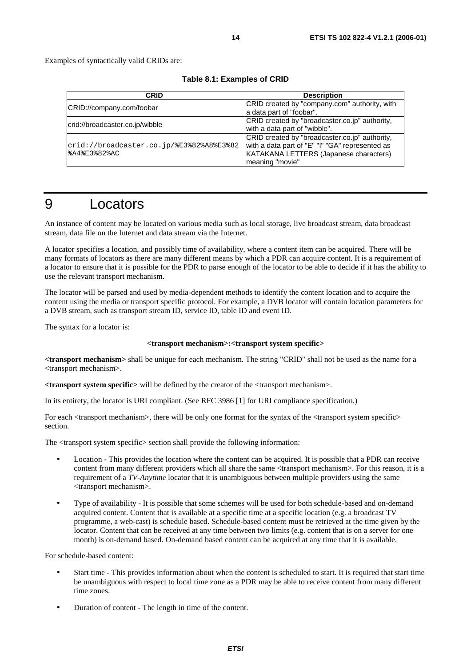Examples of syntactically valid CRIDs are:

|  |  | Table 8.1: Examples of CRID |  |  |
|--|--|-----------------------------|--|--|
|--|--|-----------------------------|--|--|

| <b>CRID</b>                                              | <b>Description</b>                                                                                                                                             |
|----------------------------------------------------------|----------------------------------------------------------------------------------------------------------------------------------------------------------------|
| CRID://company.com/foobar                                | CRID created by "company.com" authority, with<br>a data part of "foobar".                                                                                      |
| crid://broadcaster.co.jp/wibble                          | CRID created by "broadcaster.co.jp" authority,<br>with a data part of "wibble".                                                                                |
| crid://broadcaster.co.jp/%E3%82%A8%E3%82<br>%A4%E3%82%AC | CRID created by "broadcaster.co.jp" authority,<br>with a data part of "E" "I" "GA" represented as<br>KATAKANA LETTERS (Japanese characters)<br>meaning "movie" |

## 9 Locators

An instance of content may be located on various media such as local storage, live broadcast stream, data broadcast stream, data file on the Internet and data stream via the Internet.

A locator specifies a location, and possibly time of availability, where a content item can be acquired. There will be many formats of locators as there are many different means by which a PDR can acquire content. It is a requirement of a locator to ensure that it is possible for the PDR to parse enough of the locator to be able to decide if it has the ability to use the relevant transport mechanism.

The locator will be parsed and used by media-dependent methods to identify the content location and to acquire the content using the media or transport specific protocol. For example, a DVB locator will contain location parameters for a DVB stream, such as transport stream ID, service ID, table ID and event ID.

The syntax for a locator is:

#### **<transport mechanism>:<transport system specific>**

**<transport mechanism>** shall be unique for each mechanism. The string "CRID" shall not be used as the name for a <transport mechanism>.

**<transport system specific>** will be defined by the creator of the <transport mechanism>.

In its entirety, the locator is URI compliant. (See RFC 3986 [1] for URI compliance specification.)

For each  $\langle$ transport mechanism $\rangle$ , there will be only one format for the syntax of the  $\langle$ transport system specific $\rangle$ section.

The <transport system specific> section shall provide the following information:

- Location This provides the location where the content can be acquired. It is possible that a PDR can receive content from many different providers which all share the same <transport mechanism>. For this reason, it is a requirement of a *TV-Anytime* locator that it is unambiguous between multiple providers using the same <transport mechanism>.
- Type of availability It is possible that some schemes will be used for both schedule-based and on-demand acquired content. Content that is available at a specific time at a specific location (e.g. a broadcast TV programme, a web-cast) is schedule based. Schedule-based content must be retrieved at the time given by the locator. Content that can be received at any time between two limits (e.g. content that is on a server for one month) is on-demand based. On-demand based content can be acquired at any time that it is available.

For schedule-based content:

- Start time This provides information about when the content is scheduled to start. It is required that start time be unambiguous with respect to local time zone as a PDR may be able to receive content from many different time zones.
- Duration of content The length in time of the content.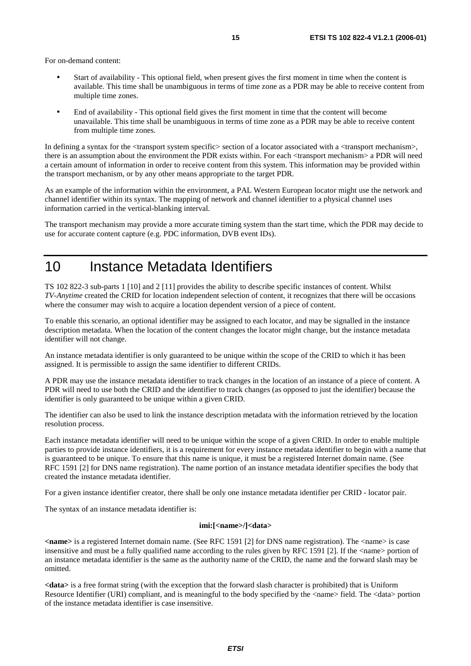For on-demand content:

- Start of availability This optional field, when present gives the first moment in time when the content is available. This time shall be unambiguous in terms of time zone as a PDR may be able to receive content from multiple time zones.
- End of availability This optional field gives the first moment in time that the content will become unavailable. This time shall be unambiguous in terms of time zone as a PDR may be able to receive content from multiple time zones.

In defining a syntax for the  $\langle$ transport system specific $\rangle$  section of a locator associated with a  $\langle$ transport mechanism $\rangle$ , there is an assumption about the environment the PDR exists within. For each <transport mechanism> a PDR will need a certain amount of information in order to receive content from this system. This information may be provided within the transport mechanism, or by any other means appropriate to the target PDR.

As an example of the information within the environment, a PAL Western European locator might use the network and channel identifier within its syntax. The mapping of network and channel identifier to a physical channel uses information carried in the vertical-blanking interval.

The transport mechanism may provide a more accurate timing system than the start time, which the PDR may decide to use for accurate content capture (e.g. PDC information, DVB event IDs).

### 10 Instance Metadata Identifiers

TS 102 822-3 sub-parts 1 [10] and 2 [11] provides the ability to describe specific instances of content. Whilst *TV-Anytime* created the CRID for location independent selection of content, it recognizes that there will be occasions where the consumer may wish to acquire a location dependent version of a piece of content.

To enable this scenario, an optional identifier may be assigned to each locator, and may be signalled in the instance description metadata. When the location of the content changes the locator might change, but the instance metadata identifier will not change.

An instance metadata identifier is only guaranteed to be unique within the scope of the CRID to which it has been assigned. It is permissible to assign the same identifier to different CRIDs.

A PDR may use the instance metadata identifier to track changes in the location of an instance of a piece of content. A PDR will need to use both the CRID and the identifier to track changes (as opposed to just the identifier) because the identifier is only guaranteed to be unique within a given CRID.

The identifier can also be used to link the instance description metadata with the information retrieved by the location resolution process.

Each instance metadata identifier will need to be unique within the scope of a given CRID. In order to enable multiple parties to provide instance identifiers, it is a requirement for every instance metadata identifier to begin with a name that is guaranteed to be unique. To ensure that this name is unique, it must be a registered Internet domain name. (See RFC 1591 [2] for DNS name registration). The name portion of an instance metadata identifier specifies the body that created the instance metadata identifier.

For a given instance identifier creator, there shall be only one instance metadata identifier per CRID - locator pair.

The syntax of an instance metadata identifier is:

#### **imi:[<name>/]<data>**

**<name>** is a registered Internet domain name. (See RFC 1591 [2] for DNS name registration). The <name> is case insensitive and must be a fully qualified name according to the rules given by RFC 1591 [2]. If the  $\langle$ name> portion of an instance metadata identifier is the same as the authority name of the CRID, the name and the forward slash may be omitted.

**<data>** is a free format string (with the exception that the forward slash character is prohibited) that is Uniform Resource Identifier (URI) compliant, and is meaningful to the body specified by the <name> field. The <data> portion of the instance metadata identifier is case insensitive.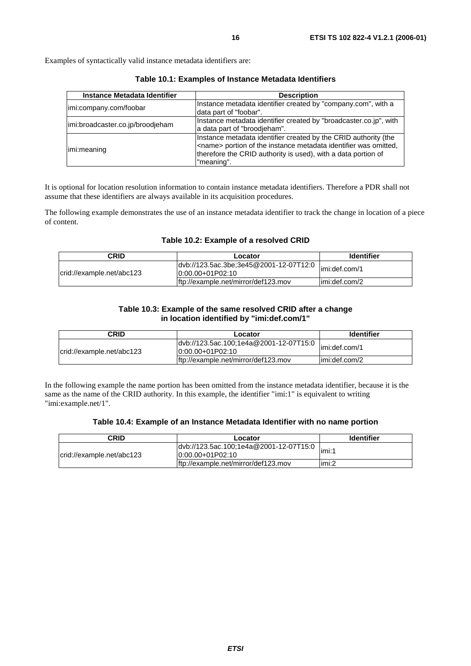Examples of syntactically valid instance metadata identifiers are:

| Instance Metadata Identifier     | <b>Description</b>                                                                                                                                                                                                         |
|----------------------------------|----------------------------------------------------------------------------------------------------------------------------------------------------------------------------------------------------------------------------|
| imi:company.com/foobar           | Instance metadata identifier created by "company.com", with a<br>data part of "foobar".                                                                                                                                    |
| imi:broadcaster.co.jp/broodjeham | Instance metadata identifier created by "broadcaster.co.jp", with<br>a data part of "broodjeham".                                                                                                                          |
| limi:meaning                     | Instance metadata identifier created by the CRID authority (the<br><name> portion of the instance metadata identifier was omitted,<br/>therefore the CRID authority is used), with a data portion of<br/>"meaning".</name> |

**Table 10.1: Examples of Instance Metadata Identifiers** 

It is optional for location resolution information to contain instance metadata identifiers. Therefore a PDR shall not assume that these identifiers are always available in its acquisition procedures.

The following example demonstrates the use of an instance metadata identifier to track the change in location of a piece of content.

#### **Table 10.2: Example of a resolved CRID**

| CRID                      | Locator                                                       | <b>Identifier</b> |
|---------------------------|---------------------------------------------------------------|-------------------|
| crid://example.net/abc123 | dvb://123.5ac.3be;3e45@2001-12-07T12:0<br>$10:00.00+01P02:10$ | limi:def.com/1    |
|                           | ftp://example.net/mirror/def123.mov                           | limi:def.com/2    |

#### **Table 10.3: Example of the same resolved CRID after a change in location identified by "imi:def.com/1"**

| CRID                      | Locator                                                       | <b>Identifier</b>       |
|---------------------------|---------------------------------------------------------------|-------------------------|
| crid://example.net/abc123 | dyb://123.5ac.100;1e4a@2001-12-07T15:0<br>$10:00.00+01P02:10$ | limi:def.com/1          |
|                           | ftp://example.net/mirror/def123.mov                           | $\text{limi:def.com/2}$ |

In the following example the name portion has been omitted from the instance metadata identifier, because it is the same as the name of the CRID authority. In this example, the identifier "imi:1" is equivalent to writing "imi:example.net/1".

| CRID                      | Locator                                                       | <b>Identifier</b> |
|---------------------------|---------------------------------------------------------------|-------------------|
| crid://example.net/abc123 | dvb://123.5ac.100;1e4a@2001-12-07T15:0<br>$10:00.00+01P02:10$ | imi:1             |
|                           | ftp://example.net/mirror/def123.mov                           | limi:2            |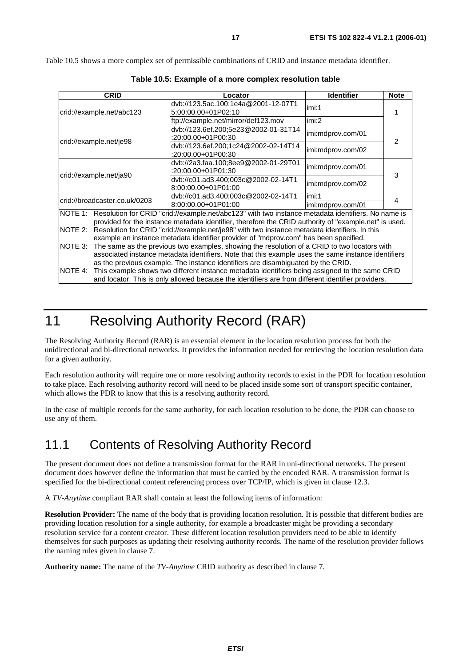Table 10.5 shows a more complex set of permissible combinations of CRID and instance metadata identifier.

| <b>CRID</b>                                                                                              |                               | Locator                                                                                                                                                                                                             | <b>Identifier</b> | <b>Note</b> |  |
|----------------------------------------------------------------------------------------------------------|-------------------------------|---------------------------------------------------------------------------------------------------------------------------------------------------------------------------------------------------------------------|-------------------|-------------|--|
| crid://example.net/abc123                                                                                |                               | dvb://123.5ac.100;1e4a@2001-12-07T1<br>5:00:00.00+01P02:10                                                                                                                                                          | imi:1             |             |  |
|                                                                                                          |                               | ftp://example.net/mirror/def123.mov                                                                                                                                                                                 | imi:2             |             |  |
|                                                                                                          |                               | dvb://123.6ef.200;5e23@2002-01-31T14<br>:20:00.00+01P00:30                                                                                                                                                          | imi:mdprov.com/01 | 2           |  |
|                                                                                                          | crid://example.net/je98       | dvb://123.6ef.200;1c24@2002-02-14T14<br>:20:00.00+01P00:30                                                                                                                                                          | imi:mdprov.com/02 |             |  |
| crid://example.net/ja90                                                                                  |                               | dvb://2a3.faa.100;8ee9@2002-01-29T01<br>:20:00.00+01P01:30                                                                                                                                                          | imi:mdprov.com/01 | 3           |  |
|                                                                                                          |                               | dvb://c01.ad3.400;003c@2002-02-14T1<br>8:00:00.00+01P01:00                                                                                                                                                          | imi:mdprov.com/02 |             |  |
|                                                                                                          | crid://broadcaster.co.uk/0203 | dvb://c01.ad3.400;003c@2002-02-14T1                                                                                                                                                                                 | imi:1             | 4           |  |
|                                                                                                          |                               | 8:00:00.00+01P01:00                                                                                                                                                                                                 | imi:mdprov.com/01 |             |  |
|                                                                                                          |                               | NOTE 1: Resolution for CRID "crid://example.net/abc123" with two instance metadata identifiers. No name is<br>provided for the instance metadata identifier, therefore the CRID authority of "example.net" is used. |                   |             |  |
| NOTE 2:                                                                                                  |                               | Resolution for CRID "crid://example.net/je98" with two instance metadata identifiers. In this                                                                                                                       |                   |             |  |
| example an instance metadata identifier provider of "mdprov.com" has been specified.                     |                               |                                                                                                                                                                                                                     |                   |             |  |
| The same as the previous two examples, showing the resolution of a CRID to two locators with<br>INOTE 3: |                               |                                                                                                                                                                                                                     |                   |             |  |
| associated instance metadata identifiers. Note that this example uses the same instance identifiers      |                               |                                                                                                                                                                                                                     |                   |             |  |
| as the previous example. The instance identifiers are disambiguated by the CRID.                         |                               |                                                                                                                                                                                                                     |                   |             |  |
| NOTE 4:                                                                                                  |                               | This example shows two different instance metadata identifiers being assigned to the same CRID                                                                                                                      |                   |             |  |
|                                                                                                          |                               | and locator. This is only allowed because the identifiers are from different identifier providers.                                                                                                                  |                   |             |  |

**Table 10.5: Example of a more complex resolution table** 

## 11 Resolving Authority Record (RAR)

The Resolving Authority Record (RAR) is an essential element in the location resolution process for both the unidirectional and bi-directional networks. It provides the information needed for retrieving the location resolution data for a given authority.

Each resolution authority will require one or more resolving authority records to exist in the PDR for location resolution to take place. Each resolving authority record will need to be placed inside some sort of transport specific container, which allows the PDR to know that this is a resolving authority record.

In the case of multiple records for the same authority, for each location resolution to be done, the PDR can choose to use any of them.

### 11.1 Contents of Resolving Authority Record

The present document does not define a transmission format for the RAR in uni-directional networks. The present document does however define the information that must be carried by the encoded RAR. A transmission format is specified for the bi-directional content referencing process over TCP/IP, which is given in clause 12.3.

A *TV-Anytime* compliant RAR shall contain at least the following items of information:

**Resolution Provider:** The name of the body that is providing location resolution. It is possible that different bodies are providing location resolution for a single authority, for example a broadcaster might be providing a secondary resolution service for a content creator. These different location resolution providers need to be able to identify themselves for such purposes as updating their resolving authority records. The name of the resolution provider follows the naming rules given in clause 7.

**Authority name:** The name of the *TV-Anytime* CRID authority as described in clause 7.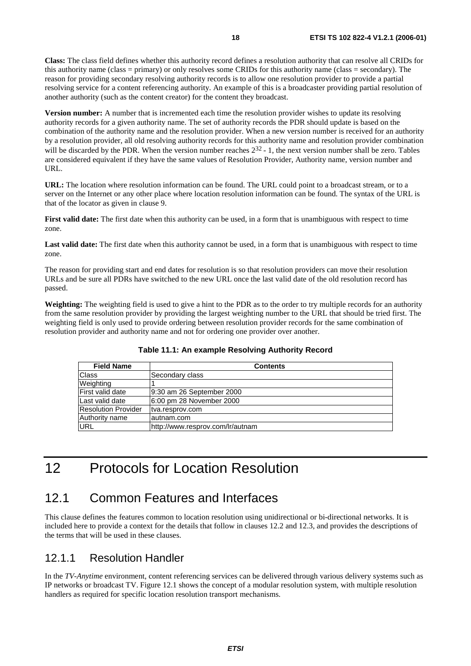**Class:** The class field defines whether this authority record defines a resolution authority that can resolve all CRIDs for this authority name (class = primary) or only resolves some CRIDs for this authority name (class = secondary). The reason for providing secondary resolving authority records is to allow one resolution provider to provide a partial resolving service for a content referencing authority. An example of this is a broadcaster providing partial resolution of another authority (such as the content creator) for the content they broadcast.

**Version number:** A number that is incremented each time the resolution provider wishes to update its resolving authority records for a given authority name. The set of authority records the PDR should update is based on the combination of the authority name and the resolution provider. When a new version number is received for an authority by a resolution provider, all old resolving authority records for this authority name and resolution provider combination will be discarded by the PDR. When the version number reaches  $2^{32}$  - 1, the next version number shall be zero. Tables are considered equivalent if they have the same values of Resolution Provider, Authority name, version number and URL.

**URL:** The location where resolution information can be found. The URL could point to a broadcast stream, or to a server on the Internet or any other place where location resolution information can be found. The syntax of the URL is that of the locator as given in clause 9.

**First valid date:** The first date when this authority can be used, in a form that is unambiguous with respect to time zone.

Last valid date: The first date when this authority cannot be used, in a form that is unambiguous with respect to time zone.

The reason for providing start and end dates for resolution is so that resolution providers can move their resolution URLs and be sure all PDRs have switched to the new URL once the last valid date of the old resolution record has passed.

**Weighting:** The weighting field is used to give a hint to the PDR as to the order to try multiple records for an authority from the same resolution provider by providing the largest weighting number to the URL that should be tried first. The weighting field is only used to provide ordering between resolution provider records for the same combination of resolution provider and authority name and not for ordering one provider over another.

| <b>Field Name</b>   | <b>Contents</b>                  |
|---------------------|----------------------------------|
| Class               | Secondary class                  |
| Weighting           |                                  |
| First valid date    | 9:30 am 26 September 2000        |
| Last valid date     | 6:00 pm 28 November 2000         |
| Resolution Provider | tva.resprov.com                  |
| Authority name      | lautnam.com                      |
| URL                 | http://www.resprov.com/lr/autnam |

**Table 11.1: An example Resolving Authority Record** 

## 12 Protocols for Location Resolution

### 12.1 Common Features and Interfaces

This clause defines the features common to location resolution using unidirectional or bi-directional networks. It is included here to provide a context for the details that follow in clauses 12.2 and 12.3, and provides the descriptions of the terms that will be used in these clauses.

### 12.1.1 Resolution Handler

In the *TV-Anytime* environment, content referencing services can be delivered through various delivery systems such as IP networks or broadcast TV. Figure 12.1 shows the concept of a modular resolution system, with multiple resolution handlers as required for specific location resolution transport mechanisms.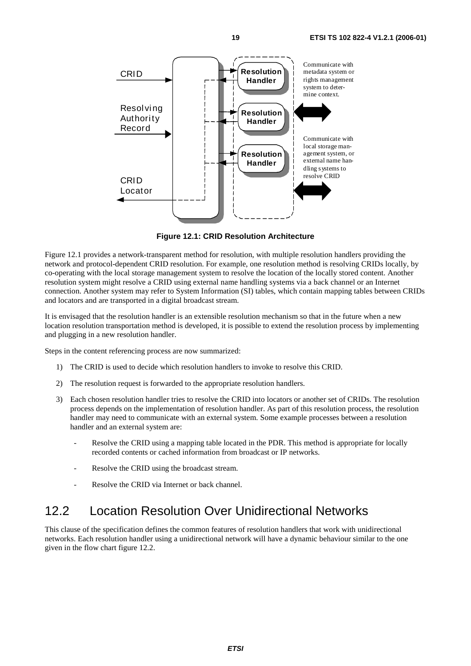

**Figure 12.1: CRID Resolution Architecture** 

Figure 12.1 provides a network-transparent method for resolution, with multiple resolution handlers providing the network and protocol-dependent CRID resolution. For example, one resolution method is resolving CRIDs locally, by co-operating with the local storage management system to resolve the location of the locally stored content. Another resolution system might resolve a CRID using external name handling systems via a back channel or an Internet connection. Another system may refer to System Information (SI) tables, which contain mapping tables between CRIDs and locators and are transported in a digital broadcast stream.

It is envisaged that the resolution handler is an extensible resolution mechanism so that in the future when a new location resolution transportation method is developed, it is possible to extend the resolution process by implementing and plugging in a new resolution handler.

Steps in the content referencing process are now summarized:

- 1) The CRID is used to decide which resolution handlers to invoke to resolve this CRID.
- 2) The resolution request is forwarded to the appropriate resolution handlers.
- 3) Each chosen resolution handler tries to resolve the CRID into locators or another set of CRIDs. The resolution process depends on the implementation of resolution handler. As part of this resolution process, the resolution handler may need to communicate with an external system. Some example processes between a resolution handler and an external system are:
	- Resolve the CRID using a mapping table located in the PDR. This method is appropriate for locally recorded contents or cached information from broadcast or IP networks.
	- Resolve the CRID using the broadcast stream.
	- Resolve the CRID via Internet or back channel.

## 12.2 Location Resolution Over Unidirectional Networks

This clause of the specification defines the common features of resolution handlers that work with unidirectional networks. Each resolution handler using a unidirectional network will have a dynamic behaviour similar to the one given in the flow chart figure 12.2.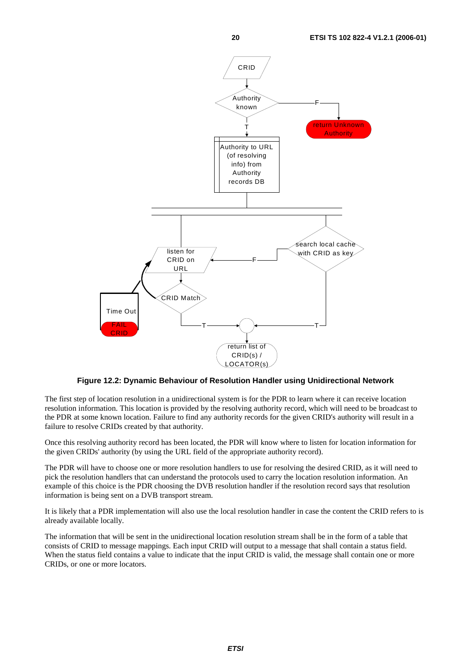

**Figure 12.2: Dynamic Behaviour of Resolution Handler using Unidirectional Network** 

The first step of location resolution in a unidirectional system is for the PDR to learn where it can receive location resolution information. This location is provided by the resolving authority record, which will need to be broadcast to the PDR at some known location. Failure to find any authority records for the given CRID's authority will result in a failure to resolve CRIDs created by that authority.

Once this resolving authority record has been located, the PDR will know where to listen for location information for the given CRIDs' authority (by using the URL field of the appropriate authority record).

The PDR will have to choose one or more resolution handlers to use for resolving the desired CRID, as it will need to pick the resolution handlers that can understand the protocols used to carry the location resolution information. An example of this choice is the PDR choosing the DVB resolution handler if the resolution record says that resolution information is being sent on a DVB transport stream.

It is likely that a PDR implementation will also use the local resolution handler in case the content the CRID refers to is already available locally.

The information that will be sent in the unidirectional location resolution stream shall be in the form of a table that consists of CRID to message mappings. Each input CRID will output to a message that shall contain a status field. When the status field contains a value to indicate that the input CRID is valid, the message shall contain one or more CRIDs, or one or more locators.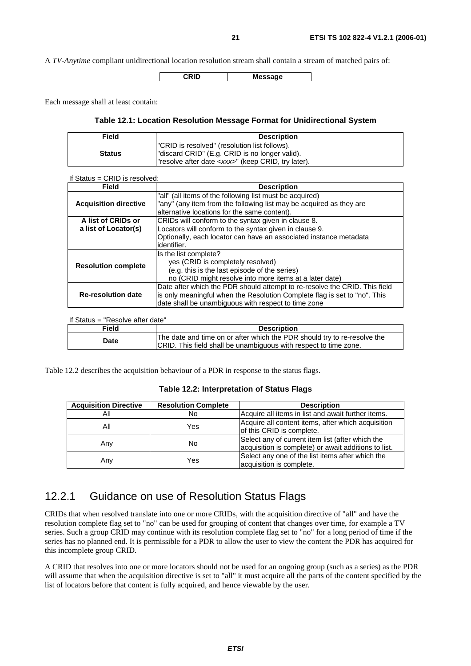A *TV-Anytime* compliant unidirectional location resolution stream shall contain a stream of matched pairs of:

**CRID Message** 

Each message shall at least contain:

#### **Table 12.1: Location Resolution Message Format for Unidirectional System**

| Field         | <b>Description</b>                                                                                                                                           |  |
|---------------|--------------------------------------------------------------------------------------------------------------------------------------------------------------|--|
| <b>Status</b> | "CRID is resolved" (resolution list follows).<br>"discard CRID" (E.g. CRID is no longer valid).<br>l"resolve after date <xxx>" (keep CRID, try later).</xxx> |  |

If Status = CRID is resolved:

| Field                        | <b>Description</b>                                                         |  |
|------------------------------|----------------------------------------------------------------------------|--|
|                              | "all" (all items of the following list must be acquired)                   |  |
| <b>Acquisition directive</b> | "any" (any item from the following list may be acquired as they are        |  |
|                              | alternative locations for the same content).                               |  |
| A list of CRIDs or           | CRIDs will conform to the syntax given in clause 8.                        |  |
| a list of Locator(s)         | Locators will conform to the syntax given in clause 9.                     |  |
|                              | Optionally, each locator can have an associated instance metadata          |  |
|                              | identifier.                                                                |  |
|                              | Is the list complete?                                                      |  |
| <b>Resolution complete</b>   | yes (CRID is completely resolved)                                          |  |
|                              | (e.g. this is the last episode of the series)                              |  |
|                              | no (CRID might resolve into more items at a later date)                    |  |
|                              | Date after which the PDR should attempt to re-resolve the CRID. This field |  |
| <b>Re-resolution date</b>    | is only meaningful when the Resolution Complete flag is set to "no". This  |  |
|                              | date shall be unambiguous with respect to time zone                        |  |

| If Status $=$ "Resolve after date" |                                                                                                                                              |
|------------------------------------|----------------------------------------------------------------------------------------------------------------------------------------------|
| Field                              | <b>Description</b>                                                                                                                           |
| Date                               | The date and time on or after which the PDR should try to re-resolve the<br>CRID. This field shall be unambiguous with respect to time zone. |

Table 12.2 describes the acquisition behaviour of a PDR in response to the status flags.

#### **Table 12.2: Interpretation of Status Flags**

| <b>Acquisition Directive</b> | <b>Resolution Complete</b> | <b>Description</b>                                                                                       |
|------------------------------|----------------------------|----------------------------------------------------------------------------------------------------------|
| All                          | No                         | Acquire all items in list and await further items.                                                       |
| All                          | Yes                        | Acquire all content items, after which acquisition<br>of this CRID is complete.                          |
| Any                          | No                         | Select any of current item list (after which the<br>acquisition is complete) or await additions to list. |
| Any                          | Yes                        | Select any one of the list items after which the<br>acquisition is complete.                             |

### 12.2.1 Guidance on use of Resolution Status Flags

CRIDs that when resolved translate into one or more CRIDs, with the acquisition directive of "all" and have the resolution complete flag set to "no" can be used for grouping of content that changes over time, for example a TV series. Such a group CRID may continue with its resolution complete flag set to "no" for a long period of time if the series has no planned end. It is permissible for a PDR to allow the user to view the content the PDR has acquired for this incomplete group CRID.

A CRID that resolves into one or more locators should not be used for an ongoing group (such as a series) as the PDR will assume that when the acquisition directive is set to "all" it must acquire all the parts of the content specified by the list of locators before that content is fully acquired, and hence viewable by the user.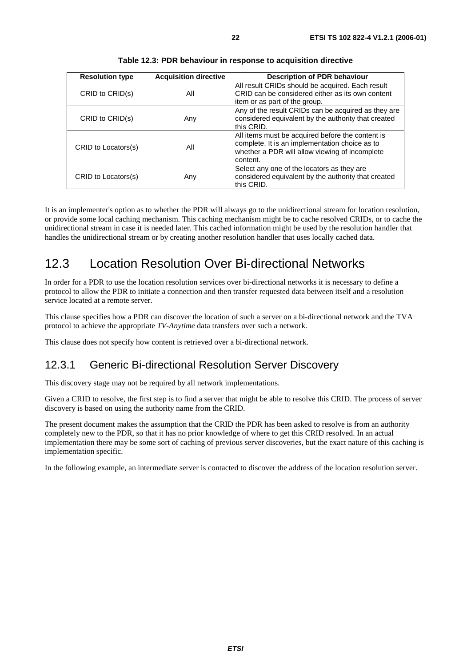| <b>Resolution type</b> | <b>Acquisition directive</b> | <b>Description of PDR behaviour</b>                                                                                                                              |
|------------------------|------------------------------|------------------------------------------------------------------------------------------------------------------------------------------------------------------|
| CRID to CRID(s)        | All                          | All result CRIDs should be acquired. Each result<br>CRID can be considered either as its own content<br>litem or as part of the group.                           |
| CRID to CRID(s)        | Any                          | Any of the result CRIDs can be acquired as they are<br>considered equivalent by the authority that created<br>this CRID.                                         |
| CRID to Locators(s)    | All                          | All items must be acquired before the content is<br>complete. It is an implementation choice as to<br>whether a PDR will allow viewing of incomplete<br>content. |
| CRID to Locators(s)    | Any                          | Select any one of the locators as they are<br>considered equivalent by the authority that created<br>lthis CRID.                                                 |

**Table 12.3: PDR behaviour in response to acquisition directive** 

It is an implementer's option as to whether the PDR will always go to the unidirectional stream for location resolution, or provide some local caching mechanism. This caching mechanism might be to cache resolved CRIDs, or to cache the unidirectional stream in case it is needed later. This cached information might be used by the resolution handler that handles the unidirectional stream or by creating another resolution handler that uses locally cached data.

### 12.3 Location Resolution Over Bi-directional Networks

In order for a PDR to use the location resolution services over bi-directional networks it is necessary to define a protocol to allow the PDR to initiate a connection and then transfer requested data between itself and a resolution service located at a remote server.

This clause specifies how a PDR can discover the location of such a server on a bi-directional network and the TVA protocol to achieve the appropriate *TV-Anytime* data transfers over such a network.

This clause does not specify how content is retrieved over a bi-directional network.

### 12.3.1 Generic Bi-directional Resolution Server Discovery

This discovery stage may not be required by all network implementations.

Given a CRID to resolve, the first step is to find a server that might be able to resolve this CRID. The process of server discovery is based on using the authority name from the CRID.

The present document makes the assumption that the CRID the PDR has been asked to resolve is from an authority completely new to the PDR, so that it has no prior knowledge of where to get this CRID resolved. In an actual implementation there may be some sort of caching of previous server discoveries, but the exact nature of this caching is implementation specific.

In the following example, an intermediate server is contacted to discover the address of the location resolution server.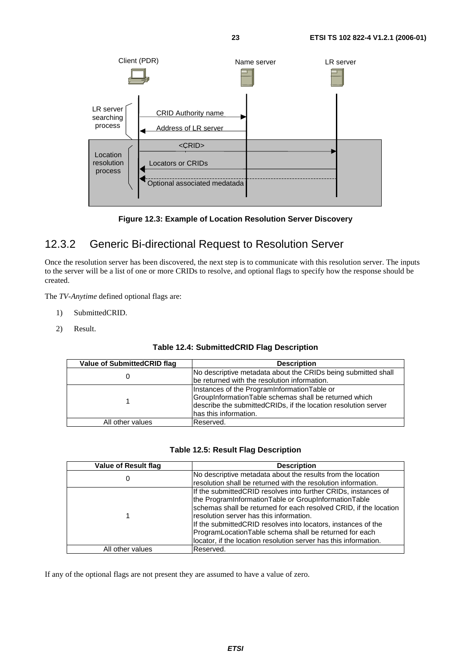

**Figure 12.3: Example of Location Resolution Server Discovery** 

### 12.3.2 Generic Bi-directional Request to Resolution Server

Once the resolution server has been discovered, the next step is to communicate with this resolution server. The inputs to the server will be a list of one or more CRIDs to resolve, and optional flags to specify how the response should be created.

The *TV-Anytime* defined optional flags are:

- 1) SubmittedCRID.
- 2) Result.

#### **Table 12.4: SubmittedCRID Flag Description**

| Value of SubmittedCRID flag | <b>Description</b>                                              |
|-----------------------------|-----------------------------------------------------------------|
|                             | No descriptive metadata about the CRIDs being submitted shall   |
|                             | be returned with the resolution information.                    |
|                             | Instances of the ProgramInformationTable or                     |
|                             | GroupInformationTable schemas shall be returned which           |
|                             | describe the submitted CRIDs, if the location resolution server |
|                             | has this information.                                           |
| All other values            | Reserved.                                                       |

#### **Table 12.5: Result Flag Description**

| <b>Value of Result flag</b> | <b>Description</b>                                                |
|-----------------------------|-------------------------------------------------------------------|
|                             | No descriptive metadata about the results from the location       |
| U                           | resolution shall be returned with the resolution information.     |
|                             | If the submitted CRID resolves into further CRIDs, instances of   |
|                             | the ProgramInformationTable or GroupInformationTable              |
|                             | schemas shall be returned for each resolved CRID, if the location |
|                             | Iresolution server has this information.                          |
|                             | If the submitted CRID resolves into locators, instances of the    |
|                             | ProgramLocationTable schema shall be returned for each            |
|                             | locator, if the location resolution server has this information.  |
| All other values            | Reserved.                                                         |

If any of the optional flags are not present they are assumed to have a value of zero.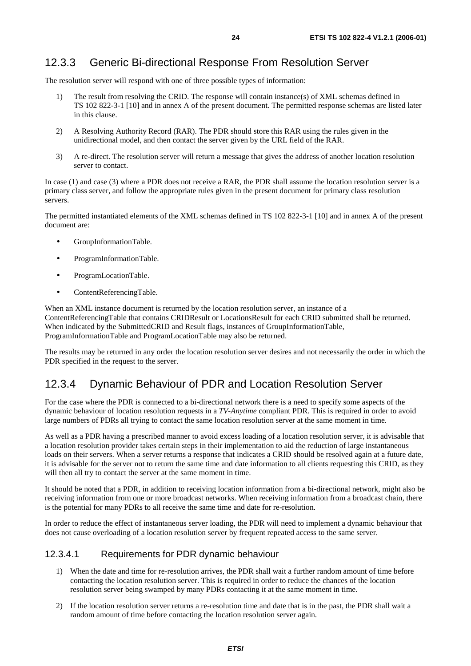### 12.3.3 Generic Bi-directional Response From Resolution Server

The resolution server will respond with one of three possible types of information:

- 1) The result from resolving the CRID. The response will contain instance(s) of XML schemas defined in TS 102 822-3-1 [10] and in annex A of the present document. The permitted response schemas are listed later in this clause.
- 2) A Resolving Authority Record (RAR). The PDR should store this RAR using the rules given in the unidirectional model, and then contact the server given by the URL field of the RAR.
- 3) A re-direct. The resolution server will return a message that gives the address of another location resolution server to contact.

In case (1) and case (3) where a PDR does not receive a RAR, the PDR shall assume the location resolution server is a primary class server, and follow the appropriate rules given in the present document for primary class resolution servers.

The permitted instantiated elements of the XML schemas defined in TS 102 822-3-1 [10] and in annex A of the present document are:

- GroupInformationTable.
- ProgramInformationTable.
- ProgramLocationTable.
- ContentReferencingTable.

When an XML instance document is returned by the location resolution server, an instance of a ContentReferencingTable that contains CRIDResult or LocationsResult for each CRID submitted shall be returned. When indicated by the SubmittedCRID and Result flags, instances of GroupInformationTable, ProgramInformationTable and ProgramLocationTable may also be returned.

The results may be returned in any order the location resolution server desires and not necessarily the order in which the PDR specified in the request to the server.

### 12.3.4 Dynamic Behaviour of PDR and Location Resolution Server

For the case where the PDR is connected to a bi-directional network there is a need to specify some aspects of the dynamic behaviour of location resolution requests in a *TV-Anytime* compliant PDR. This is required in order to avoid large numbers of PDRs all trying to contact the same location resolution server at the same moment in time.

As well as a PDR having a prescribed manner to avoid excess loading of a location resolution server, it is advisable that a location resolution provider takes certain steps in their implementation to aid the reduction of large instantaneous loads on their servers. When a server returns a response that indicates a CRID should be resolved again at a future date, it is advisable for the server not to return the same time and date information to all clients requesting this CRID, as they will then all try to contact the server at the same moment in time.

It should be noted that a PDR, in addition to receiving location information from a bi-directional network, might also be receiving information from one or more broadcast networks. When receiving information from a broadcast chain, there is the potential for many PDRs to all receive the same time and date for re-resolution.

In order to reduce the effect of instantaneous server loading, the PDR will need to implement a dynamic behaviour that does not cause overloading of a location resolution server by frequent repeated access to the same server.

#### 12.3.4.1 Requirements for PDR dynamic behaviour

- 1) When the date and time for re-resolution arrives, the PDR shall wait a further random amount of time before contacting the location resolution server. This is required in order to reduce the chances of the location resolution server being swamped by many PDRs contacting it at the same moment in time.
- 2) If the location resolution server returns a re-resolution time and date that is in the past, the PDR shall wait a random amount of time before contacting the location resolution server again.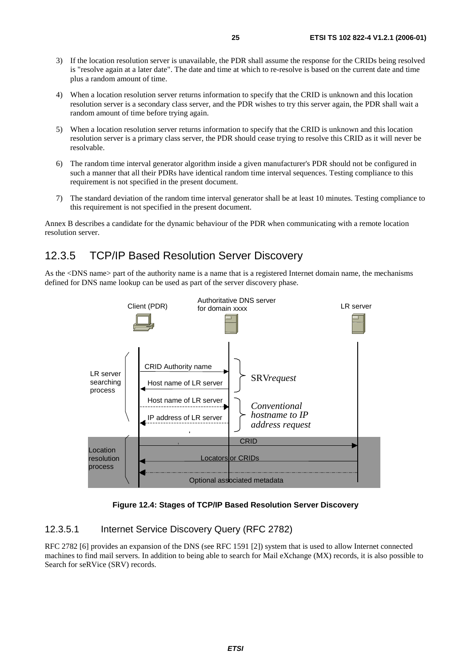- 3) If the location resolution server is unavailable, the PDR shall assume the response for the CRIDs being resolved is "resolve again at a later date". The date and time at which to re-resolve is based on the current date and time plus a random amount of time.
- 4) When a location resolution server returns information to specify that the CRID is unknown and this location resolution server is a secondary class server, and the PDR wishes to try this server again, the PDR shall wait a random amount of time before trying again.
- 5) When a location resolution server returns information to specify that the CRID is unknown and this location resolution server is a primary class server, the PDR should cease trying to resolve this CRID as it will never be resolvable.
- 6) The random time interval generator algorithm inside a given manufacturer's PDR should not be configured in such a manner that all their PDRs have identical random time interval sequences. Testing compliance to this requirement is not specified in the present document.
- 7) The standard deviation of the random time interval generator shall be at least 10 minutes. Testing compliance to this requirement is not specified in the present document.

Annex B describes a candidate for the dynamic behaviour of the PDR when communicating with a remote location resolution server.

### 12.3.5 TCP/IP Based Resolution Server Discovery

As the <DNS name> part of the authority name is a name that is a registered Internet domain name, the mechanisms defined for DNS name lookup can be used as part of the server discovery phase.



**Figure 12.4: Stages of TCP/IP Based Resolution Server Discovery** 

#### 12.3.5.1 Internet Service Discovery Query (RFC 2782)

RFC 2782 [6] provides an expansion of the DNS (see RFC 1591 [2]) system that is used to allow Internet connected machines to find mail servers. In addition to being able to search for Mail eXchange (MX) records, it is also possible to Search for seRVice (SRV) records.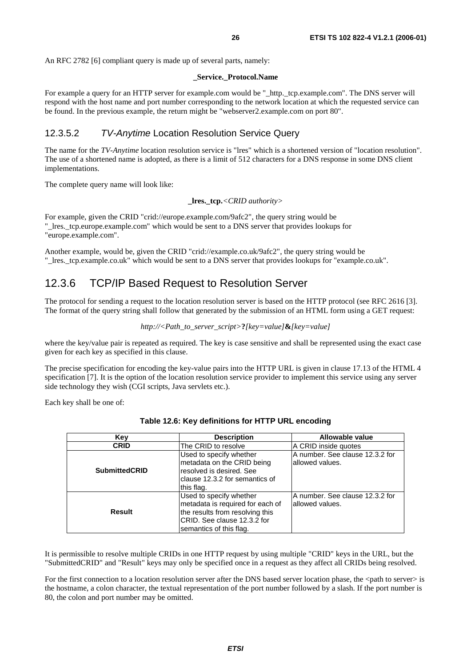An RFC 2782 [6] compliant query is made up of several parts, namely:

#### **\_Service.\_Protocol.Name**

For example a query for an HTTP server for example.com would be "\_http.\_tcp.example.com". The DNS server will respond with the host name and port number corresponding to the network location at which the requested service can be found. In the previous example, the return might be "webserver2.example.com on port 80".

#### 12.3.5.2 TV-Anytime Location Resolution Service Query

The name for the *TV-Anytime* location resolution service is "lres" which is a shortened version of "location resolution". The use of a shortened name is adopted, as there is a limit of 512 characters for a DNS response in some DNS client implementations.

The complete query name will look like:

**\_lres.\_tcp.***<CRID authority>*

For example, given the CRID "crid://europe.example.com/9afc2", the query string would be "\_lres.\_tcp.europe.example.com" which would be sent to a DNS server that provides lookups for "europe.example.com".

Another example, would be, given the CRID "crid://example.co.uk/9afc2", the query string would be "\_lres.\_tcp.example.co.uk" which would be sent to a DNS server that provides lookups for "example.co.uk".

### 12.3.6 TCP/IP Based Request to Resolution Server

The protocol for sending a request to the location resolution server is based on the HTTP protocol (see RFC 2616 [3]. The format of the query string shall follow that generated by the submission of an HTML form using a GET request:

```
http://<Path_to_server_script>?[key=value]&[key=value]
```
where the key/value pair is repeated as required. The key is case sensitive and shall be represented using the exact case given for each key as specified in this clause.

The precise specification for encoding the key-value pairs into the HTTP URL is given in clause 17.13 of the HTML 4 specification [7]. It is the option of the location resolution service provider to implement this service using any server side technology they wish (CGI scripts, Java servlets etc.).

Each key shall be one of:

| Key                  | <b>Description</b>                                                                                                                                       | Allowable value                                     |
|----------------------|----------------------------------------------------------------------------------------------------------------------------------------------------------|-----------------------------------------------------|
| <b>CRID</b>          | The CRID to resolve                                                                                                                                      | A CRID inside quotes                                |
| <b>SubmittedCRID</b> | Used to specify whether<br>metadata on the CRID being<br>resolved is desired. See<br>clause 12.3.2 for semantics of<br>this flag.                        | A number. See clause 12.3.2 for<br>allowed values.  |
| Result               | Used to specify whether<br>metadata is required for each of<br>the results from resolving this<br>CRID. See clause 12.3.2 for<br>semantics of this flag. | A number, See clause 12.3.2 for<br>lallowed values. |

#### **Table 12.6: Key definitions for HTTP URL encoding**

It is permissible to resolve multiple CRIDs in one HTTP request by using multiple "CRID" keys in the URL, but the "SubmittedCRID" and "Result" keys may only be specified once in a request as they affect all CRIDs being resolved.

For the first connection to a location resolution server after the DNS based server location phase, the  $\leq$ path to server> is the hostname, a colon character, the textual representation of the port number followed by a slash. If the port number is 80, the colon and port number may be omitted.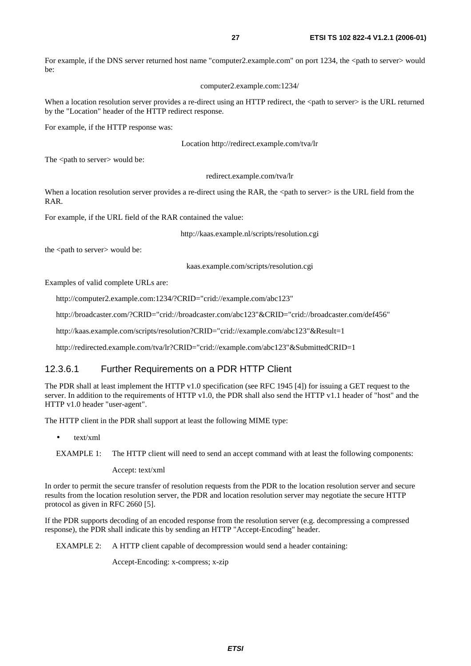For example, if the DNS server returned host name "computer2.example.com" on port 1234, the  $\lt$ path to server> would be:

computer2.example.com:1234/

When a location resolution server provides a re-direct using an HTTP redirect, the  $\epsilon$  path to server is the URL returned by the "Location" header of the HTTP redirect response.

For example, if the HTTP response was:

Location http://redirect.example.com/tva/lr

The <path to server> would be:

redirect.example.com/tva/lr

When a location resolution server provides a re-direct using the RAR, the <path to server> is the URL field from the RAR.

For example, if the URL field of the RAR contained the value:

http://kaas.example.nl/scripts/resolution.cgi

the <path to server> would be:

kaas.example.com/scripts/resolution.cgi

Examples of valid complete URLs are:

http://computer2.example.com:1234/?CRID="crid://example.com/abc123"

http://broadcaster.com/?CRID="crid://broadcaster.com/abc123"&CRID="crid://broadcaster.com/def456"

http://kaas.example.com/scripts/resolution?CRID="crid://example.com/abc123"&Result=1

http://redirected.example.com/tva/lr?CRID="crid://example.com/abc123"&SubmittedCRID=1

#### 12.3.6.1 Further Requirements on a PDR HTTP Client

The PDR shall at least implement the HTTP v1.0 specification (see RFC 1945 [4]) for issuing a GET request to the server. In addition to the requirements of HTTP v1.0, the PDR shall also send the HTTP v1.1 header of "host" and the HTTP v1.0 header "user-agent".

The HTTP client in the PDR shall support at least the following MIME type:

• text/xml

EXAMPLE 1: The HTTP client will need to send an accept command with at least the following components:

Accept: text/xml

In order to permit the secure transfer of resolution requests from the PDR to the location resolution server and secure results from the location resolution server, the PDR and location resolution server may negotiate the secure HTTP protocol as given in RFC 2660 [5].

If the PDR supports decoding of an encoded response from the resolution server (e.g. decompressing a compressed response), the PDR shall indicate this by sending an HTTP "Accept-Encoding" header.

EXAMPLE 2: A HTTP client capable of decompression would send a header containing:

Accept-Encoding: x-compress; x-zip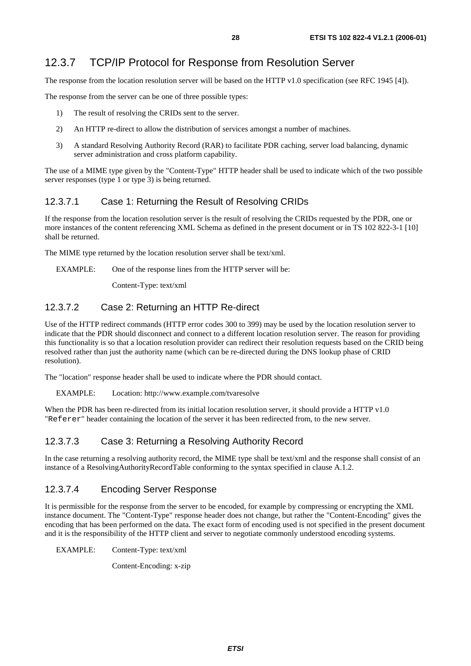The response from the location resolution server will be based on the HTTP v1.0 specification (see RFC 1945 [4]).

The response from the server can be one of three possible types:

- 1) The result of resolving the CRIDs sent to the server.
- 2) An HTTP re-direct to allow the distribution of services amongst a number of machines.
- 3) A standard Resolving Authority Record (RAR) to facilitate PDR caching, server load balancing, dynamic server administration and cross platform capability.

The use of a MIME type given by the "Content-Type" HTTP header shall be used to indicate which of the two possible server responses (type 1 or type 3) is being returned.

### 12.3.7.1 Case 1: Returning the Result of Resolving CRIDs

If the response from the location resolution server is the result of resolving the CRIDs requested by the PDR, one or more instances of the content referencing XML Schema as defined in the present document or in TS 102 822-3-1 [10] shall be returned.

The MIME type returned by the location resolution server shall be text/xml.

EXAMPLE: One of the response lines from the HTTP server will be:

Content-Type: text/xml

### 12.3.7.2 Case 2: Returning an HTTP Re-direct

Use of the HTTP redirect commands (HTTP error codes 300 to 399) may be used by the location resolution server to indicate that the PDR should disconnect and connect to a different location resolution server. The reason for providing this functionality is so that a location resolution provider can redirect their resolution requests based on the CRID being resolved rather than just the authority name (which can be re-directed during the DNS lookup phase of CRID resolution).

The "location" response header shall be used to indicate where the PDR should contact.

EXAMPLE: Location: http://www.example.com/tvaresolve

When the PDR has been re-directed from its initial location resolution server, it should provide a HTTP v1.0 "Referer" header containing the location of the server it has been redirected from, to the new server.

#### 12.3.7.3 Case 3: Returning a Resolving Authority Record

In the case returning a resolving authority record, the MIME type shall be text/xml and the response shall consist of an instance of a ResolvingAuthorityRecordTable conforming to the syntax specified in clause A.1.2.

#### 12.3.7.4 Encoding Server Response

It is permissible for the response from the server to be encoded, for example by compressing or encrypting the XML instance document. The "Content-Type" response header does not change, but rather the "Content-Encoding" gives the encoding that has been performed on the data. The exact form of encoding used is not specified in the present document and it is the responsibility of the HTTP client and server to negotiate commonly understood encoding systems.

EXAMPLE: Content-Type: text/xml

Content-Encoding: x-zip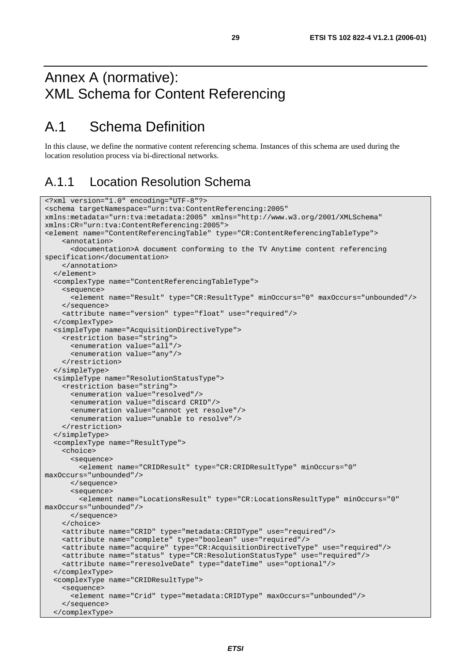## Annex A (normative): XML Schema for Content Referencing

## A.1 Schema Definition

In this clause, we define the normative content referencing schema. Instances of this schema are used during the location resolution process via bi-directional networks.

## A.1.1 Location Resolution Schema

```
<?xml version="1.0" encoding="UTF-8"?> 
<schema targetNamespace="urn:tva:ContentReferencing:2005" 
xmlns:metadata="urn:tva:metadata:2005" xmlns="http://www.w3.org/2001/XMLSchema" 
xmlns:CR="urn:tva:ContentReferencing:2005"> 
<element name="ContentReferencingTable" type="CR:ContentReferencingTableType"> 
     <annotation> 
       <documentation>A document conforming to the TV Anytime content referencing 
specification</documentation> 
     </annotation> 
   </element> 
   <complexType name="ContentReferencingTableType"> 
     <sequence> 
       <element name="Result" type="CR:ResultType" minOccurs="0" maxOccurs="unbounded"/> 
     </sequence> 
     <attribute name="version" type="float" use="required"/> 
   </complexType> 
   <simpleType name="AcquisitionDirectiveType"> 
     <restriction base="string"> 
       <enumeration value="all"/> 
       <enumeration value="any"/> 
     </restriction> 
   </simpleType> 
   <simpleType name="ResolutionStatusType"> 
     <restriction base="string"> 
       <enumeration value="resolved"/> 
       <enumeration value="discard CRID"/> 
       <enumeration value="cannot yet resolve"/> 
       <enumeration value="unable to resolve"/> 
     </restriction> 
   </simpleType> 
   <complexType name="ResultType"> 
     <choice> 
       <sequence> 
         <element name="CRIDResult" type="CR:CRIDResultType" minOccurs="0" 
maxOccurs="unbounded"/> 
       </sequence> 
       <sequence> 
         <element name="LocationsResult" type="CR:LocationsResultType" minOccurs="0" 
maxOccurs="unbounded"/> 
       </sequence> 
     </choice> 
     <attribute name="CRID" type="metadata:CRIDType" use="required"/> 
     <attribute name="complete" type="boolean" use="required"/> 
     <attribute name="acquire" type="CR:AcquisitionDirectiveType" use="required"/> 
     <attribute name="status" type="CR:ResolutionStatusType" use="required"/> 
     <attribute name="reresolveDate" type="dateTime" use="optional"/> 
   </complexType> 
   <complexType name="CRIDResultType"> 
     <sequence> 
       <element name="Crid" type="metadata:CRIDType" maxOccurs="unbounded"/> 
     </sequence> 
   </complexType>
```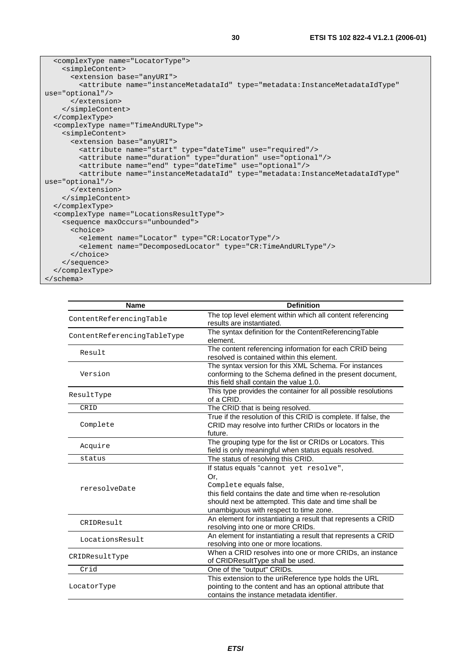```
 <complexType name="LocatorType"> 
     <simpleContent> 
       <extension base="anyURI"> 
         <attribute name="instanceMetadataId" type="metadata:InstanceMetadataIdType" 
use="optional"/> 
       </extension> 
     </simpleContent> 
   </complexType> 
   <complexType name="TimeAndURLType"> 
     <simpleContent> 
       <extension base="anyURI"> 
         <attribute name="start" type="dateTime" use="required"/> 
         <attribute name="duration" type="duration" use="optional"/> 
         <attribute name="end" type="dateTime" use="optional"/> 
         <attribute name="instanceMetadataId" type="metadata:InstanceMetadataIdType" 
use="optional"/> 
       </extension> 
     </simpleContent> 
   </complexType> 
   <complexType name="LocationsResultType"> 
     <sequence maxOccurs="unbounded"> 
       <choice> 
         <element name="Locator" type="CR:LocatorType"/> 
         <element name="DecomposedLocator" type="CR:TimeAndURLType"/> 
       </choice> 
     </sequence> 
   </complexType> 
</schema>
```

| <b>Name</b>                 | <b>Definition</b>                                                                                                                   |
|-----------------------------|-------------------------------------------------------------------------------------------------------------------------------------|
| ContentReferencingTable     | The top level element within which all content referencing                                                                          |
|                             | results are instantiated.                                                                                                           |
| ContentReferencingTableType | The syntax definition for the ContentReferencingTable                                                                               |
|                             | element.                                                                                                                            |
| Result                      | The content referencing information for each CRID being<br>resolved is contained within this element.                               |
|                             | The syntax version for this XML Schema. For instances                                                                               |
| Version                     | conforming to the Schema defined in the present document,<br>this field shall contain the value 1.0.                                |
| ResultType                  | This type provides the container for all possible resolutions<br>of a CRID.                                                         |
| CRID                        | The CRID that is being resolved.                                                                                                    |
| Complete                    | True if the resolution of this CRID is complete. If false, the<br>CRID may resolve into further CRIDs or locators in the<br>future. |
| Acquire                     | The grouping type for the list or CRIDs or Locators. This<br>field is only meaningful when status equals resolved.                  |
| status                      | The status of resolving this CRID.                                                                                                  |
|                             | If status equals "cannot yet resolve",                                                                                              |
|                             | Or.                                                                                                                                 |
|                             | Complete equals false,                                                                                                              |
| reresolveDate               | this field contains the date and time when re-resolution                                                                            |
|                             | should next be attempted. This date and time shall be                                                                               |
|                             | unambiguous with respect to time zone.                                                                                              |
| CRIDResult                  | An element for instantiating a result that represents a CRID                                                                        |
|                             | resolving into one or more CRIDs.                                                                                                   |
| LocationsResult             | An element for instantiating a result that represents a CRID                                                                        |
|                             | resolving into one or more locations.                                                                                               |
| CRIDResultType              | When a CRID resolves into one or more CRIDs, an instance                                                                            |
|                             | of CRIDResultType shall be used.                                                                                                    |
| Crid                        | One of the "output" CRIDs.                                                                                                          |
|                             | This extension to the uriReference type holds the URL                                                                               |
| LocatorType                 | pointing to the content and has an optional attribute that                                                                          |
|                             | contains the instance metadata identifier.                                                                                          |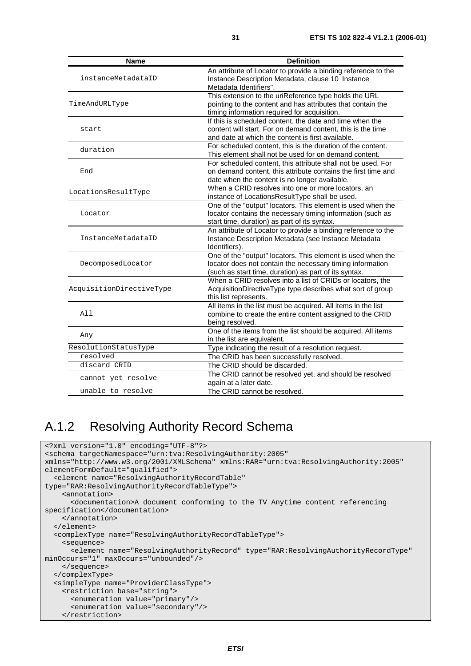| Name                     | <b>Definition</b>                                                                                                                                                                 |
|--------------------------|-----------------------------------------------------------------------------------------------------------------------------------------------------------------------------------|
| instanceMetadataID       | An attribute of Locator to provide a binding reference to the<br>Instance Description Metadata, clause 10 Instance<br>Metadata Identifiers".                                      |
| TimeAndURLType           | This extension to the uriReference type holds the URL<br>pointing to the content and has attributes that contain the<br>timing information required for acquisition.              |
| start                    | If this is scheduled content, the date and time when the<br>content will start. For on demand content, this is the time<br>and date at which the content is first available.      |
| duration                 | For scheduled content, this is the duration of the content.<br>This element shall not be used for on demand content.                                                              |
| End                      | For scheduled content, this attribute shall not be used. For<br>on demand content, this attribute contains the first time and<br>date when the content is no longer available.    |
| LocationsResultType      | When a CRID resolves into one or more locators, an<br>instance of LocationsResultType shall be used.                                                                              |
| Locator                  | One of the "output" locators. This element is used when the<br>locator contains the necessary timing information (such as<br>start time, duration) as part of its syntax.         |
| InstanceMetadataID       | An attribute of Locator to provide a binding reference to the<br>Instance Description Metadata (see Instance Metadata<br>Identifiers).                                            |
| DecomposedLocator        | One of the "output" locators. This element is used when the<br>locator does not contain the necessary timing information<br>(such as start time, duration) as part of its syntax. |
| AcquisitionDirectiveType | When a CRID resolves into a list of CRIDs or locators, the<br>AcquisitionDirectiveType type describes what sort of group<br>this list represents.                                 |
| All                      | All items in the list must be acquired. All items in the list<br>combine to create the entire content assigned to the CRID<br>being resolved.                                     |
| Any                      | One of the items from the list should be acquired. All items<br>in the list are equivalent.                                                                                       |
| ResolutionStatusType     | Type indicating the result of a resolution request.                                                                                                                               |
| resolved                 | The CRID has been successfully resolved.                                                                                                                                          |
| discard CRID             | The CRID should be discarded.                                                                                                                                                     |
| cannot yet resolve       | The CRID cannot be resolved yet, and should be resolved<br>again at a later date.                                                                                                 |
| unable to resolve        | The CRID cannot be resolved.                                                                                                                                                      |

## A.1.2 Resolving Authority Record Schema

```
<?xml version="1.0" encoding="UTF-8"?> 
<schema targetNamespace="urn:tva:ResolvingAuthority:2005" 
xmlns="http://www.w3.org/2001/XMLSchema" xmlns:RAR="urn:tva:ResolvingAuthority:2005" 
elementFormDefault="qualified"> 
   <element name="ResolvingAuthorityRecordTable" 
type="RAR:ResolvingAuthorityRecordTableType"> 
     <annotation> 
       <documentation>A document conforming to the TV Anytime content referencing 
specification</documentation> 
     </annotation> 
   </element> 
   <complexType name="ResolvingAuthorityRecordTableType"> 
     <sequence> 
       <element name="ResolvingAuthorityRecord" type="RAR:ResolvingAuthorityRecordType" 
minOccurs="1" maxOccurs="unbounded"/> 
     </sequence> 
   </complexType> 
   <simpleType name="ProviderClassType"> 
     <restriction base="string"> 
       <enumeration value="primary"/> 
       <enumeration value="secondary"/> 
     </restriction>
```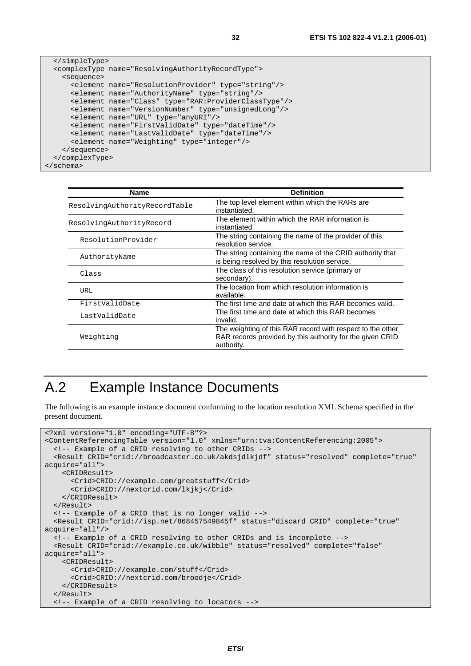```
 </simpleType> 
  <complexType name="ResolvingAuthorityRecordType"> 
     <sequence> 
       <element name="ResolutionProvider" type="string"/> 
       <element name="AuthorityName" type="string"/> 
       <element name="Class" type="RAR:ProviderClassType"/> 
       <element name="VersionNumber" type="unsignedLong"/> 
       <element name="URL" type="anyURI"/> 
       <element name="FirstValidDate" type="dateTime"/> 
       <element name="LastValidDate" type="dateTime"/> 
       <element name="Weighting" type="integer"/> 
     </sequence> 
  </complexType> 
</schema>
```

| <b>Name</b>                   | <b>Definition</b>                                                                                                                     |
|-------------------------------|---------------------------------------------------------------------------------------------------------------------------------------|
| ResolvingAuthorityRecordTable | The top level element within which the RARs are<br>instantiated.                                                                      |
| ResolvingAuthorityRecord      | The element within which the RAR information is<br>instantiated.                                                                      |
| ResolutionProvider            | The string containing the name of the provider of this<br>resolution service.                                                         |
| AuthorityName                 | The string containing the name of the CRID authority that<br>is being resolved by this resolution service.                            |
| Class                         | The class of this resolution service (primary or<br>secondary).                                                                       |
| <b>URL</b>                    | The location from which resolution information is<br>available.                                                                       |
| FirstValidDate                | The first time and date at which this RAR becomes valid.                                                                              |
| LastValidDate                 | The first time and date at which this RAR becomes<br>invalid.                                                                         |
| Weighting                     | The weighting of this RAR record with respect to the other<br>RAR records provided by this authority for the given CRID<br>authority. |

## A.2 Example Instance Documents

The following is an example instance document conforming to the location resolution XML Schema specified in the present document.

```
<?xml version="1.0" encoding="UTF-8"?> 
<ContentReferencingTable version="1.0" xmlns="urn:tva:ContentReferencing:2005"> 
   <!-- Example of a CRID resolving to other CRIDs --> 
   <Result CRID="crid://broadcaster.co.uk/akdsjdlkjdf" status="resolved" complete="true" 
acquire="all"> 
     <CRIDResult> 
       <Crid>CRID://example.com/greatstuff</Crid> 
       <Crid>CRID://nextcrid.com/lkjkj</Crid> 
     </CRIDResult> 
   </Result> 
   <!-- Example of a CRID that is no longer valid --> 
   <Result CRID="crid://isp.net/868457549845f" status="discard CRID" complete="true" 
acquire="all"/> 
   <!-- Example of a CRID resolving to other CRIDs and is incomplete --> 
   <Result CRID="crid://example.co.uk/wibble" status="resolved" complete="false" 
acquire="all"> 
     <CRIDResult> 
       <Crid>CRID://example.com/stuff</Crid> 
       <Crid>CRID://nextcrid.com/broodje</Crid> 
     </CRIDResult> 
   </Result> 
   <!-- Example of a CRID resolving to locators -->
```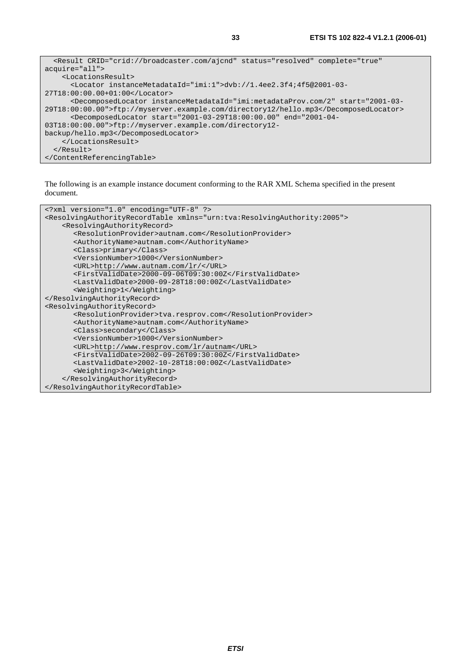```
 <Result CRID="crid://broadcaster.com/ajcnd" status="resolved" complete="true" 
acquire="all"> 
     <LocationsResult> 
       <Locator instanceMetadataId="imi:1">dvb://1.4ee2.3f4;4f5@2001-03-
27T18:00:00.00+01:00</Locator> 
       <DecomposedLocator instanceMetadataId="imi:metadataProv.com/2" start="2001-03-
29T18:00:00.00">ftp://myserver.example.com/directory12/hello.mp3</DecomposedLocator> 
       <DecomposedLocator start="2001-03-29T18:00:00.00" end="2001-04-
03T18:00:00.00">ftp://myserver.example.com/directory12-
backup/hello.mp3</DecomposedLocator> 
     </LocationsResult> 
   </Result> 
</ContentReferencingTable>
```
The following is an example instance document conforming to the RAR XML Schema specified in the present document.

| xml version="1.0" encoding="UTF-8" ?                                                                    |
|---------------------------------------------------------------------------------------------------------|
| <resolvingauthorityrecordtable xmlns="urn:tva:ResolvingAuthority:2005"></resolvingauthorityrecordtable> |
| <resolvingauthorityrecord></resolvingauthorityrecord>                                                   |
| <resolutionprovider>autnam.com</resolutionprovider>                                                     |
| <authorityname>autnam.com</authorityname>                                                               |
| <class>primary</class>                                                                                  |
| <versionnumber>1000</versionnumber>                                                                     |
| <url>http://www.autnam.com/lr/</url>                                                                    |
| <firstvaliddate>2000-09-06T09:30:00Z</firstvaliddate>                                                   |
| <lastvaliddate>2000-09-28T18:00:00Z</lastvaliddate>                                                     |
| <weighting>1</weighting>                                                                                |
|                                                                                                         |
| <resolvingauthorityrecord></resolvingauthorityrecord>                                                   |
| <resolutionprovider>tva.resprov.com</resolutionprovider>                                                |
| <authorityname>autnam.com</authorityname>                                                               |
| <class>secondary</class>                                                                                |
| <versionnumber>1000</versionnumber>                                                                     |
| <url>http://www.resprov.com/lr/autnam</url>                                                             |
| <firstvaliddate>2002-09-26T09:30:00Z</firstvaliddate>                                                   |
| <lastvaliddate>2002-10-28T18:00:00Z</lastvaliddate>                                                     |
| <weighting>3</weighting>                                                                                |
|                                                                                                         |
|                                                                                                         |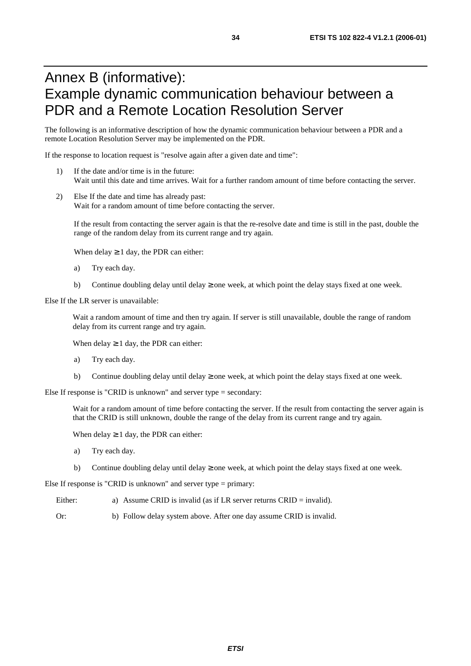## Annex B (informative): Example dynamic communication behaviour between a PDR and a Remote Location Resolution Server

The following is an informative description of how the dynamic communication behaviour between a PDR and a remote Location Resolution Server may be implemented on the PDR.

If the response to location request is "resolve again after a given date and time":

- 1) If the date and/or time is in the future: Wait until this date and time arrives. Wait for a further random amount of time before contacting the server.
- 2) Else If the date and time has already past: Wait for a random amount of time before contacting the server.

If the result from contacting the server again is that the re-resolve date and time is still in the past, double the range of the random delay from its current range and try again.

When delay  $\geq 1$  day, the PDR can either:

- a) Try each day.
- b) Continue doubling delay until delay  $\geq$  one week, at which point the delay stays fixed at one week.

Else If the LR server is unavailable:

Wait a random amount of time and then try again. If server is still unavailable, double the range of random delay from its current range and try again.

When delay  $\geq 1$  day, the PDR can either:

- a) Try each day.
- b) Continue doubling delay until delay  $\geq$  one week, at which point the delay stays fixed at one week.

Else If response is "CRID is unknown" and server type = secondary:

Wait for a random amount of time before contacting the server. If the result from contacting the server again is that the CRID is still unknown, double the range of the delay from its current range and try again.

When delay  $\geq 1$  day, the PDR can either:

- a) Try each day.
- b) Continue doubling delay until delay  $\geq$  one week, at which point the delay stays fixed at one week.

Else If response is "CRID is unknown" and server type = primary:

- Either: a) Assume CRID is invalid (as if LR server returns CRID = invalid).
- Or: b) Follow delay system above. After one day assume CRID is invalid.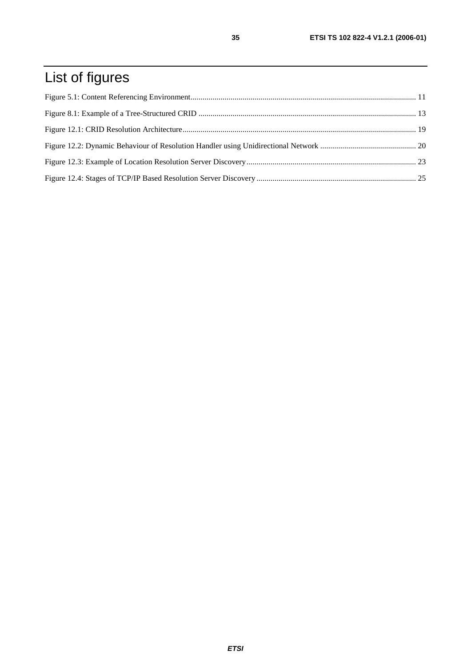## List of figures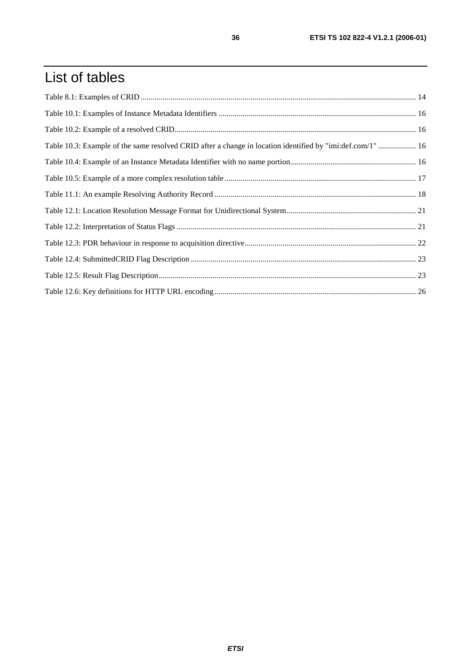## List of tables

| Table 10.3: Example of the same resolved CRID after a change in location identified by "imi:def.com/1"  16 |  |
|------------------------------------------------------------------------------------------------------------|--|
|                                                                                                            |  |
|                                                                                                            |  |
|                                                                                                            |  |
|                                                                                                            |  |
|                                                                                                            |  |
|                                                                                                            |  |
|                                                                                                            |  |
|                                                                                                            |  |
|                                                                                                            |  |